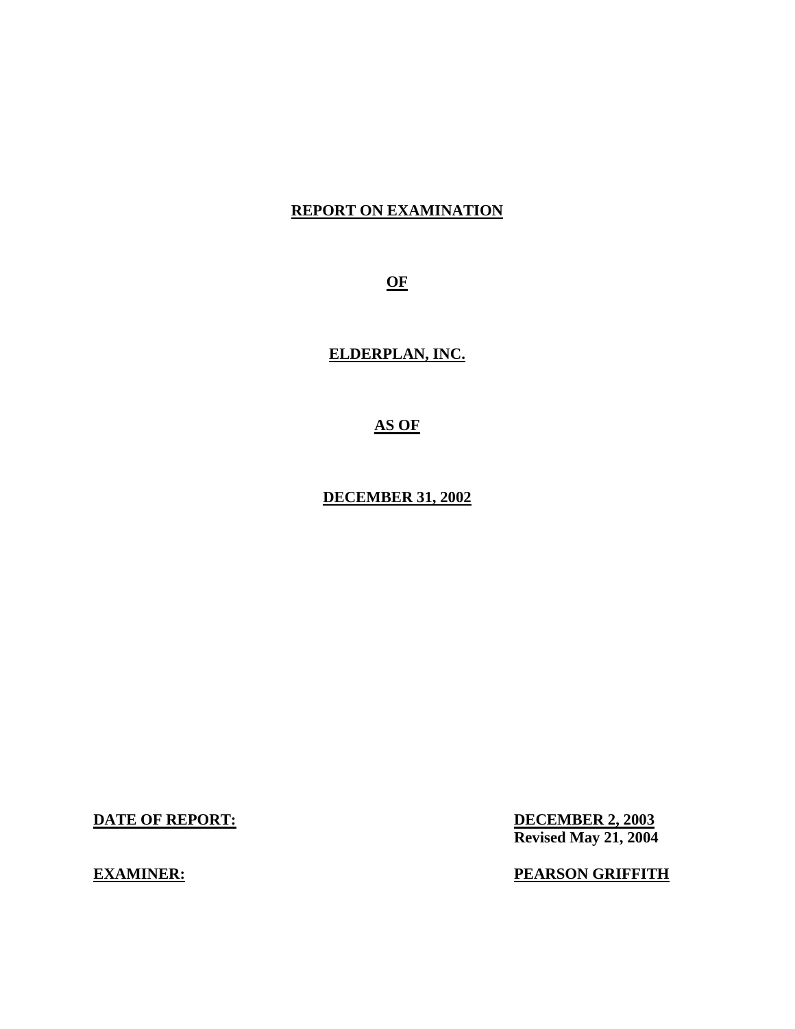## **REPORT ON EXAMINATION**

**OF** 

**ELDERPLAN, INC.** 

**AS OF** 

**DECEMBER 31, 2002** 

**DATE OF REPORT:** 

**EXAMINER:** 

**DECEMBER 2, 2003 Revised May 21, 2004** 

**PEARSON GRIFFITH**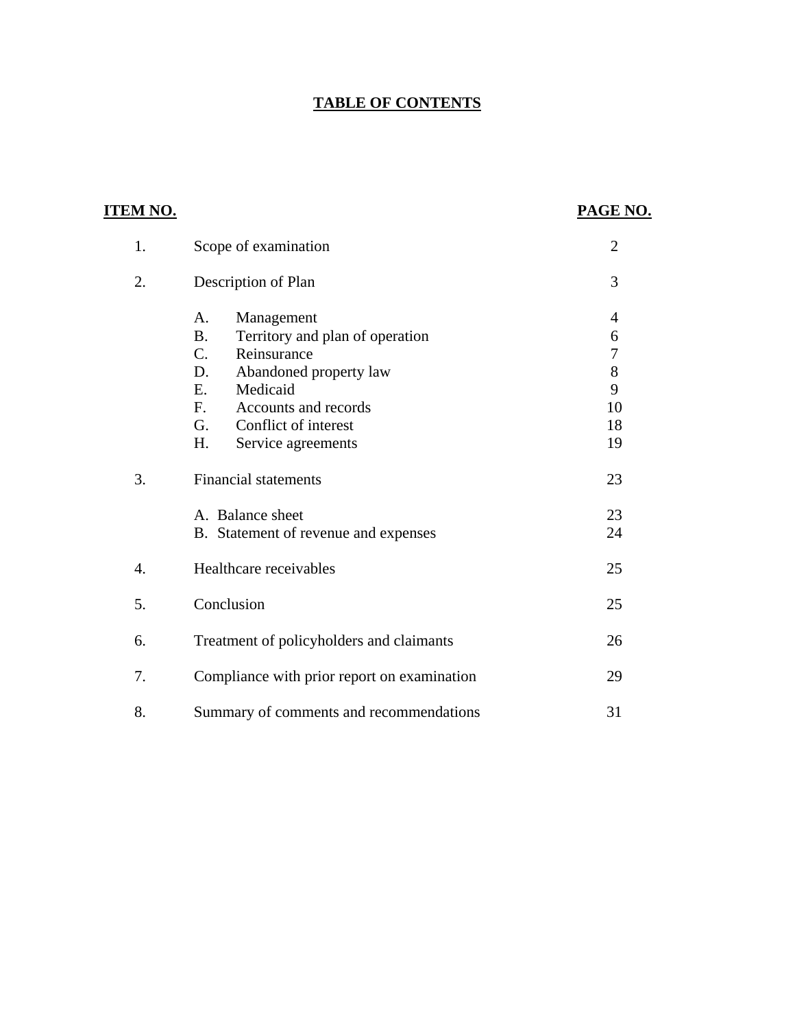## **TABLE OF CONTENTS**

| <u>ITEM NO.</u>  |                                                                                                                                                                                                                                                   | PAGE NO.                                                            |
|------------------|---------------------------------------------------------------------------------------------------------------------------------------------------------------------------------------------------------------------------------------------------|---------------------------------------------------------------------|
| 1.               | Scope of examination                                                                                                                                                                                                                              | $\overline{2}$                                                      |
| 2.               | Description of Plan                                                                                                                                                                                                                               | 3                                                                   |
|                  | $A_{\cdot}$<br>Management<br><b>B.</b><br>Territory and plan of operation<br>$C_{\cdot}$<br>Reinsurance<br>D.<br>Abandoned property law<br>Medicaid<br>E.<br>F.<br>Accounts and records<br>G.<br>Conflict of interest<br>Η.<br>Service agreements | $\overline{4}$<br>6<br>$\boldsymbol{7}$<br>8<br>9<br>10<br>18<br>19 |
| 3.               | <b>Financial statements</b><br>A. Balance sheet<br>B. Statement of revenue and expenses                                                                                                                                                           | 23<br>23<br>24                                                      |
| $\overline{4}$ . | Healthcare receivables                                                                                                                                                                                                                            | 25                                                                  |
| 5.               | Conclusion                                                                                                                                                                                                                                        | 25                                                                  |
| 6.               | Treatment of policyholders and claimants                                                                                                                                                                                                          | 26                                                                  |
| 7.               | Compliance with prior report on examination                                                                                                                                                                                                       | 29                                                                  |
| 8.               | Summary of comments and recommendations                                                                                                                                                                                                           | 31                                                                  |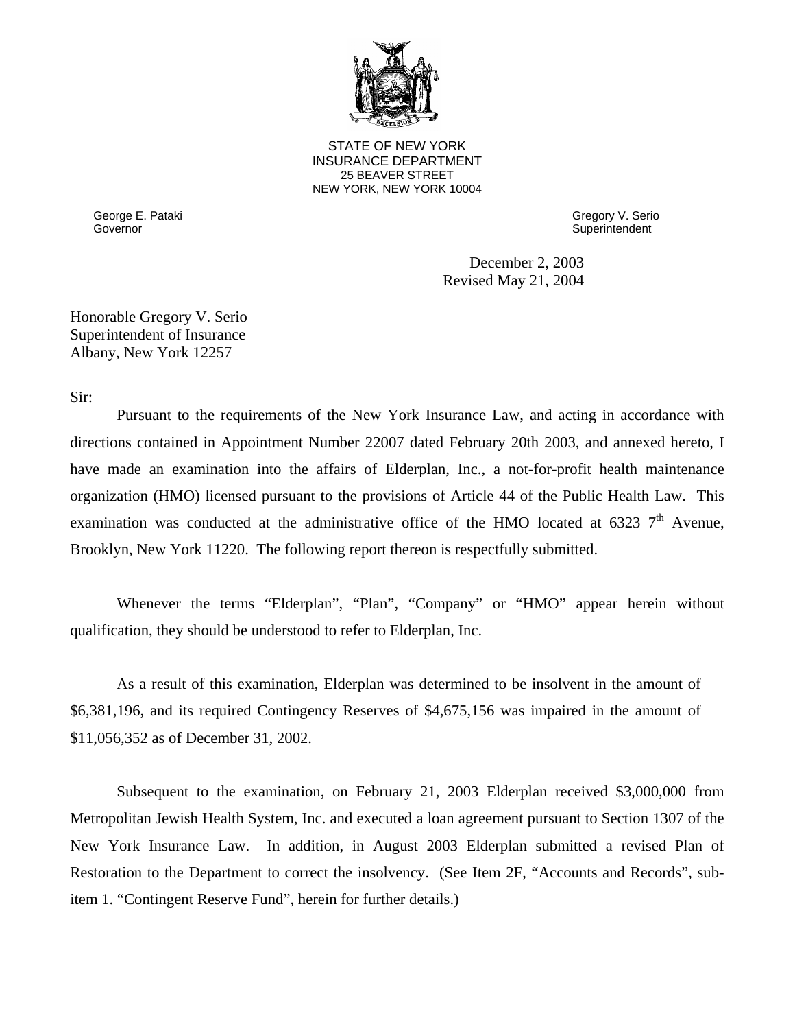

**25 BEAVER STREET** STATE OF NEW YORK INSURANCE DEPARTMENT NEW YORK, NEW YORK 10004

Governor George E. Pataki Gregory V. Serio

Superintendent

December 2, 2003 Revised May 21, 2004

Honorable Gregory V. Serio Superintendent of Insurance Albany, New York 12257

Sir:

Pursuant to the requirements of the New York Insurance Law, and acting in accordance with directions contained in Appointment Number 22007 dated February 20th 2003, and annexed hereto, I have made an examination into the affairs of Elderplan, Inc., a not-for-profit health maintenance organization (HMO) licensed pursuant to the provisions of Article 44 of the Public Health Law. This examination was conducted at the administrative office of the HMO located at 6323  $7<sup>th</sup>$  Avenue, Brooklyn, New York 11220. The following report thereon is respectfully submitted.

Whenever the terms "Elderplan", "Plan", "Company" or "HMO" appear herein without qualification, they should be understood to refer to Elderplan, Inc.

As a result of this examination, Elderplan was determined to be insolvent in the amount of \$6,381,196, and its required Contingency Reserves of \$4,675,156 was impaired in the amount of \$11,056,352 as of December 31, 2002.

Subsequent to the examination, on February 21, 2003 Elderplan received \$3,000,000 from Metropolitan Jewish Health System, Inc. and executed a loan agreement pursuant to Section 1307 of the New York Insurance Law. In addition, in August 2003 Elderplan submitted a revised Plan of Restoration to the Department to correct the insolvency. (See Item 2F, "Accounts and Records", subitem 1. "Contingent Reserve Fund", herein for further details.)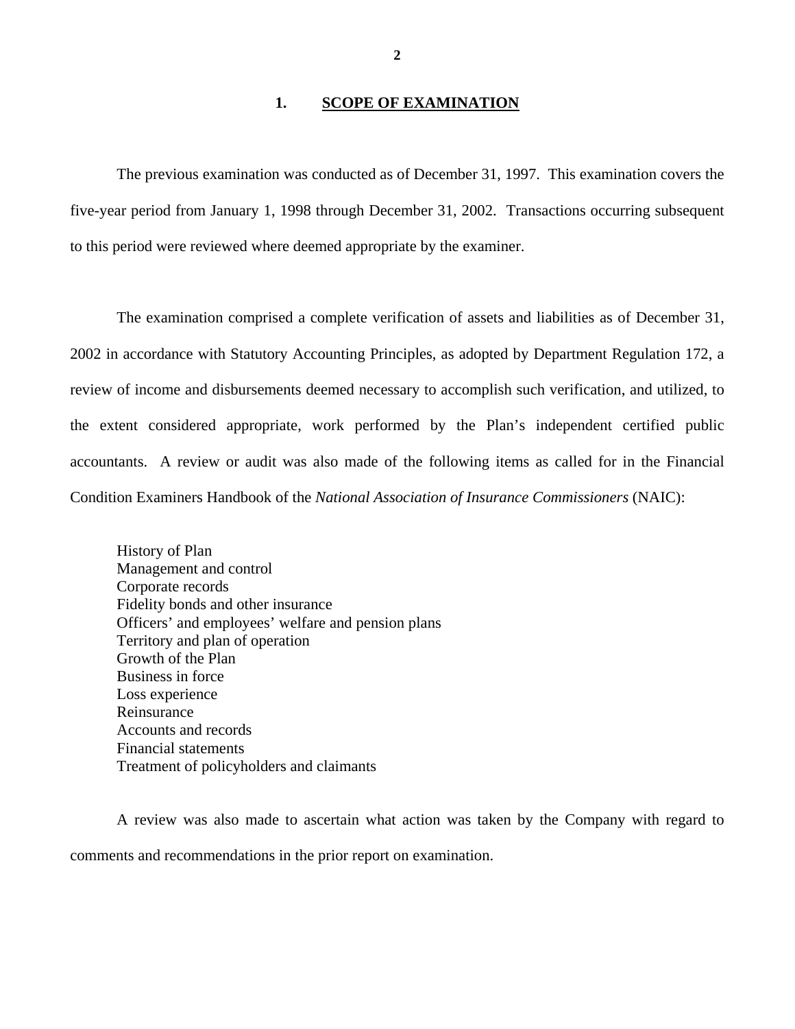## **1. SCOPE OF EXAMINATION**

The previous examination was conducted as of December 31, 1997. This examination covers the five-year period from January 1, 1998 through December 31, 2002. Transactions occurring subsequent to this period were reviewed where deemed appropriate by the examiner.

The examination comprised a complete verification of assets and liabilities as of December 31, 2002 in accordance with Statutory Accounting Principles, as adopted by Department Regulation 172, a review of income and disbursements deemed necessary to accomplish such verification, and utilized, to the extent considered appropriate, work performed by the Plan's independent certified public accountants. A review or audit was also made of the following items as called for in the Financial Condition Examiners Handbook of the *National Association of Insurance Commissioners* (NAIC):

History of Plan Management and control Corporate records Fidelity bonds and other insurance Officers' and employees' welfare and pension plans Territory and plan of operation Growth of the Plan Business in force Loss experience Reinsurance Accounts and records Financial statements Treatment of policyholders and claimants

A review was also made to ascertain what action was taken by the Company with regard to comments and recommendations in the prior report on examination.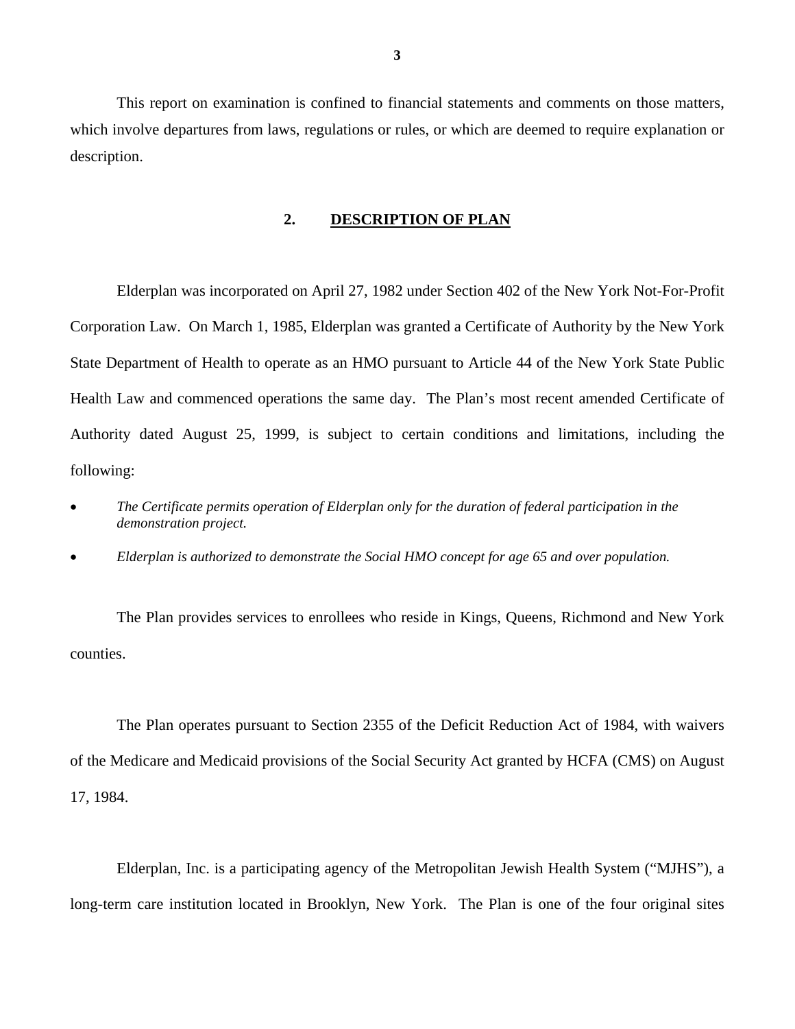This report on examination is confined to financial statements and comments on those matters, which involve departures from laws, regulations or rules, or which are deemed to require explanation or description.

#### **2. DESCRIPTION OF PLAN**

Elderplan was incorporated on April 27, 1982 under Section 402 of the New York Not-For-Profit Corporation Law. On March 1, 1985, Elderplan was granted a Certificate of Authority by the New York State Department of Health to operate as an HMO pursuant to Article 44 of the New York State Public Health Law and commenced operations the same day. The Plan's most recent amended Certificate of Authority dated August 25, 1999, is subject to certain conditions and limitations, including the following:

- *The Certificate permits operation of Elderplan only for the duration of federal participation in the demonstration project.*
- *Elderplan is authorized to demonstrate the Social HMO concept for age 65 and over population.*

The Plan provides services to enrollees who reside in Kings, Queens, Richmond and New York counties.

The Plan operates pursuant to Section 2355 of the Deficit Reduction Act of 1984, with waivers of the Medicare and Medicaid provisions of the Social Security Act granted by HCFA (CMS) on August 17, 1984.

Elderplan, Inc. is a participating agency of the Metropolitan Jewish Health System ("MJHS"), a long-term care institution located in Brooklyn, New York. The Plan is one of the four original sites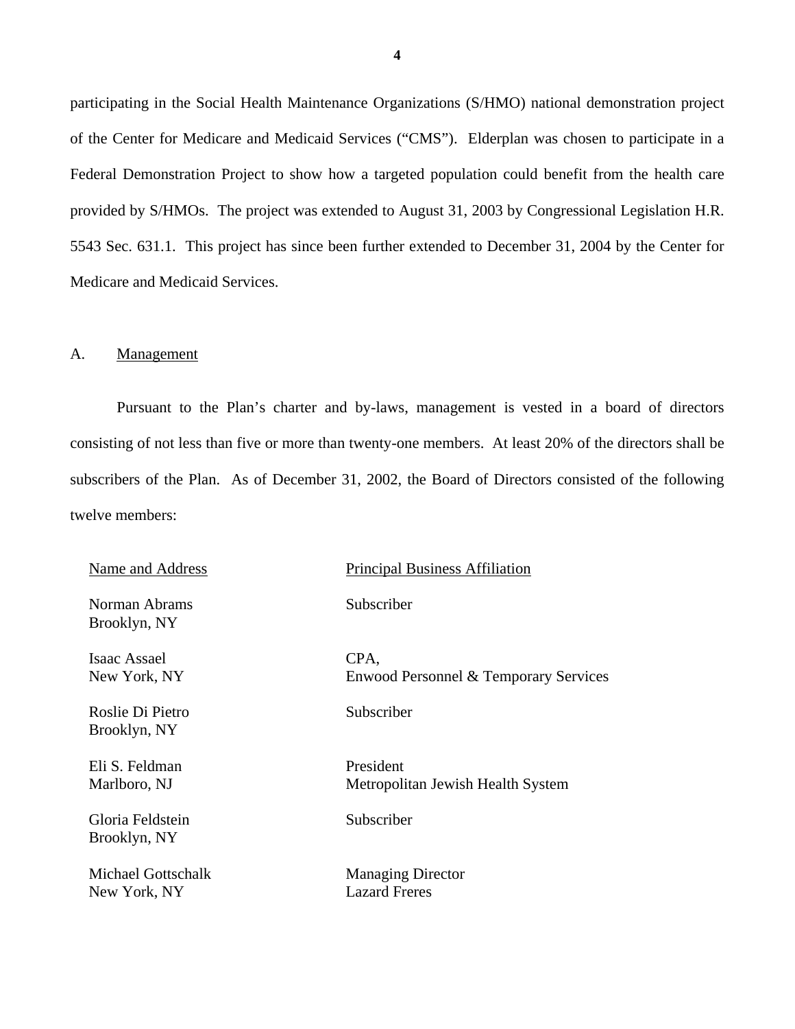participating in the Social Health Maintenance Organizations (S/HMO) national demonstration project of the Center for Medicare and Medicaid Services ("CMS"). Elderplan was chosen to participate in a Federal Demonstration Project to show how a targeted population could benefit from the health care provided by S/HMOs. The project was extended to August 31, 2003 by Congressional Legislation H.R. 5543 Sec. 631.1. This project has since been further extended to December 31, 2004 by the Center for Medicare and Medicaid Services.

#### A. Management

Pursuant to the Plan's charter and by-laws, management is vested in a board of directors consisting of not less than five or more than twenty-one members. At least 20% of the directors shall be subscribers of the Plan. As of December 31, 2002, the Board of Directors consisted of the following twelve members:

| Name and Address                   | <b>Principal Business Affiliation</b>            |
|------------------------------------|--------------------------------------------------|
| Norman Abrams<br>Brooklyn, NY      | Subscriber                                       |
| Isaac Assael<br>New York, NY       | CPA,<br>Enwood Personnel & Temporary Services    |
| Roslie Di Pietro<br>Brooklyn, NY   | Subscriber                                       |
| Eli S. Feldman<br>Marlboro, NJ     | President<br>Metropolitan Jewish Health System   |
| Gloria Feldstein<br>Brooklyn, NY   | Subscriber                                       |
| Michael Gottschalk<br>New York, NY | <b>Managing Director</b><br><b>Lazard Freres</b> |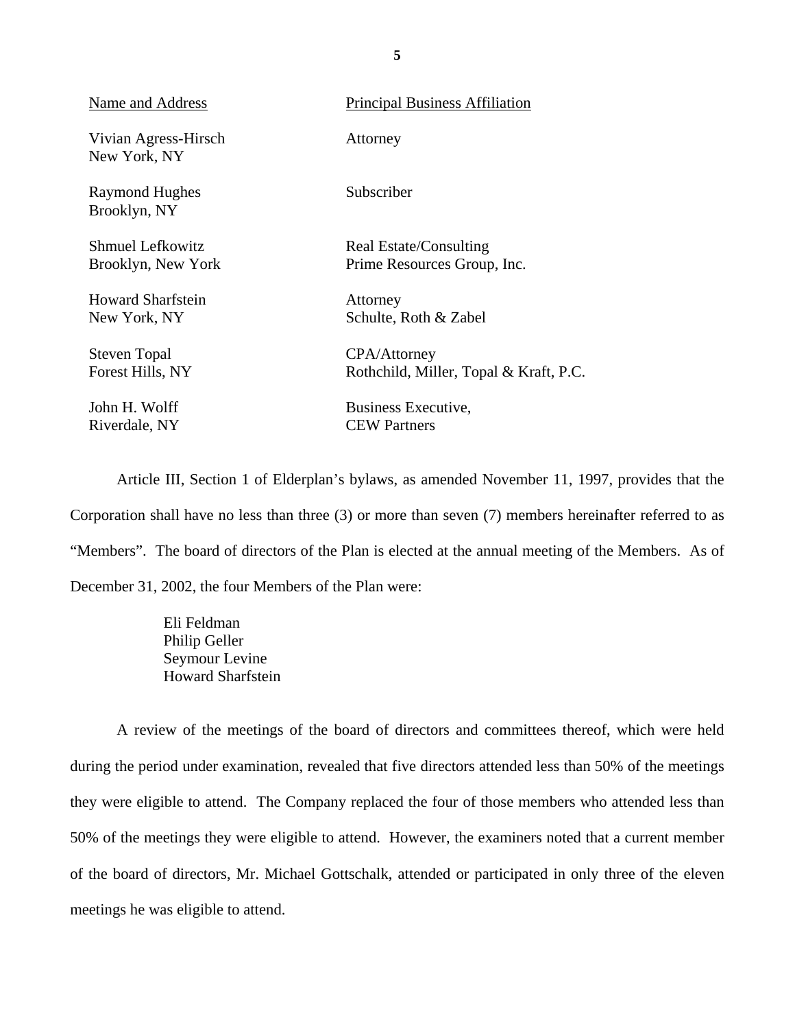| Name and Address                     | <b>Principal Business Affiliation</b>  |
|--------------------------------------|----------------------------------------|
| Vivian Agress-Hirsch<br>New York, NY | Attorney                               |
| Raymond Hughes<br>Brooklyn, NY       | Subscriber                             |
| <b>Shmuel Lefkowitz</b>              | Real Estate/Consulting                 |
| Brooklyn, New York                   | Prime Resources Group, Inc.            |
| <b>Howard Sharfstein</b>             | Attorney                               |
| New York, NY                         | Schulte, Roth & Zabel                  |
| <b>Steven Topal</b>                  | <b>CPA/Attorney</b>                    |
| Forest Hills, NY                     | Rothchild, Miller, Topal & Kraft, P.C. |
| John H. Wolff                        | Business Executive,                    |
| Riverdale, NY                        | <b>CEW Partners</b>                    |

Article III, Section 1 of Elderplan's bylaws, as amended November 11, 1997, provides that the Corporation shall have no less than three (3) or more than seven (7) members hereinafter referred to as "Members". The board of directors of the Plan is elected at the annual meeting of the Members. As of December 31, 2002, the four Members of the Plan were:

> Eli Feldman Philip Geller Seymour Levine Howard Sharfstein

A review of the meetings of the board of directors and committees thereof, which were held during the period under examination, revealed that five directors attended less than 50% of the meetings they were eligible to attend. The Company replaced the four of those members who attended less than 50% of the meetings they were eligible to attend. However, the examiners noted that a current member of the board of directors, Mr. Michael Gottschalk, attended or participated in only three of the eleven meetings he was eligible to attend.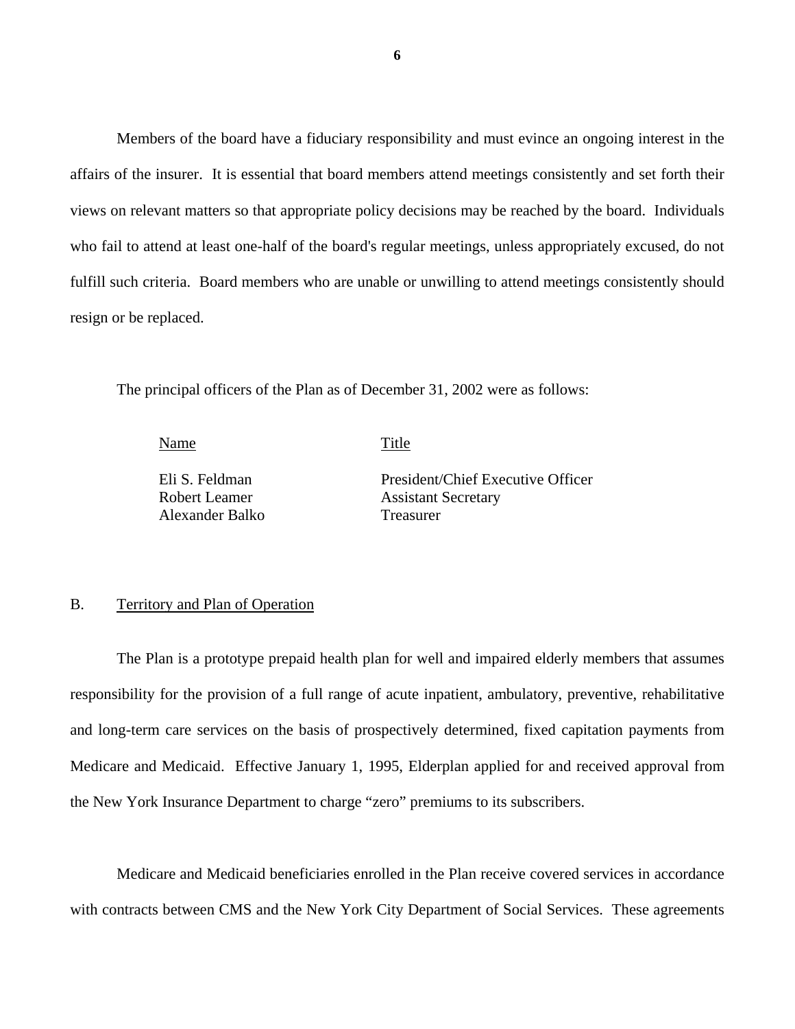Members of the board have a fiduciary responsibility and must evince an ongoing interest in the affairs of the insurer. It is essential that board members attend meetings consistently and set forth their views on relevant matters so that appropriate policy decisions may be reached by the board. Individuals who fail to attend at least one-half of the board's regular meetings, unless appropriately excused, do not fulfill such criteria. Board members who are unable or unwilling to attend meetings consistently should resign or be replaced.

The principal officers of the Plan as of December 31, 2002 were as follows:

Name Title

Alexander Balko Treasurer

Eli S. Feldman President/Chief Executive Officer Robert Leamer **Assistant Secretary** 

#### B. Territory and Plan of Operation

The Plan is a prototype prepaid health plan for well and impaired elderly members that assumes responsibility for the provision of a full range of acute inpatient, ambulatory, preventive, rehabilitative and long-term care services on the basis of prospectively determined, fixed capitation payments from Medicare and Medicaid. Effective January 1, 1995, Elderplan applied for and received approval from the New York Insurance Department to charge "zero" premiums to its subscribers.

Medicare and Medicaid beneficiaries enrolled in the Plan receive covered services in accordance with contracts between CMS and the New York City Department of Social Services. These agreements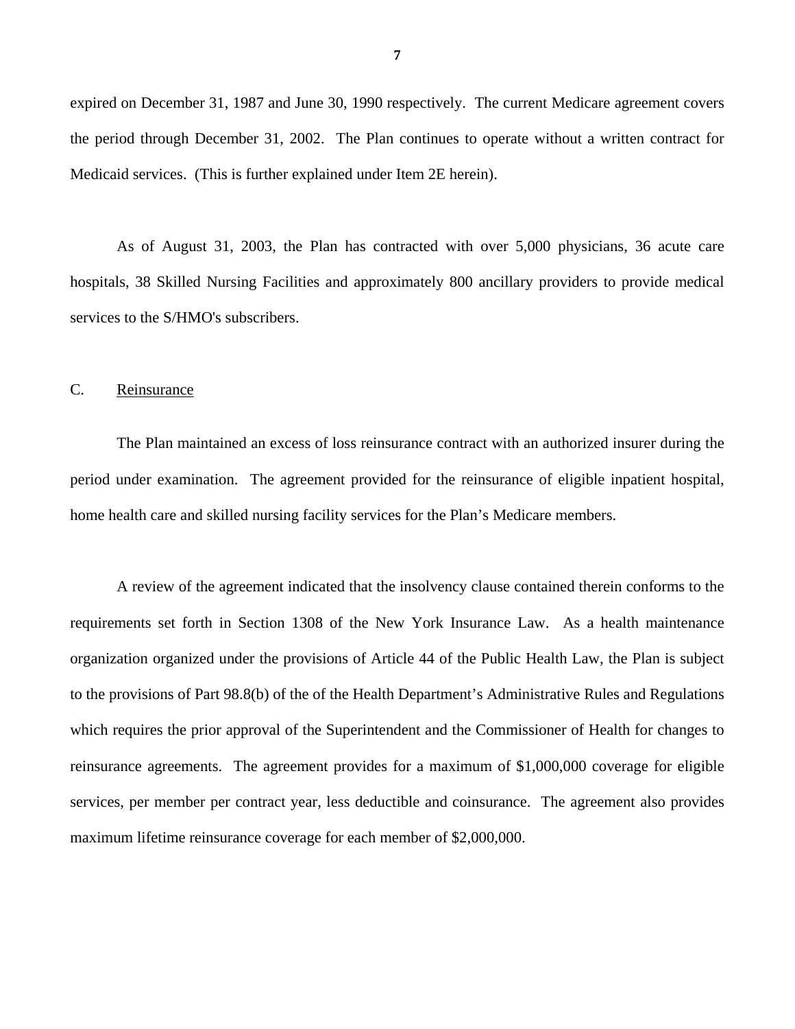expired on December 31, 1987 and June 30, 1990 respectively. The current Medicare agreement covers the period through December 31, 2002. The Plan continues to operate without a written contract for Medicaid services. (This is further explained under Item 2E herein).

As of August 31, 2003, the Plan has contracted with over 5,000 physicians, 36 acute care hospitals, 38 Skilled Nursing Facilities and approximately 800 ancillary providers to provide medical services to the S/HMO's subscribers.

#### C. Reinsurance

The Plan maintained an excess of loss reinsurance contract with an authorized insurer during the period under examination. The agreement provided for the reinsurance of eligible inpatient hospital, home health care and skilled nursing facility services for the Plan's Medicare members.

A review of the agreement indicated that the insolvency clause contained therein conforms to the requirements set forth in Section 1308 of the New York Insurance Law. As a health maintenance organization organized under the provisions of Article 44 of the Public Health Law, the Plan is subject to the provisions of Part 98.8(b) of the of the Health Department's Administrative Rules and Regulations which requires the prior approval of the Superintendent and the Commissioner of Health for changes to reinsurance agreements. The agreement provides for a maximum of \$1,000,000 coverage for eligible services, per member per contract year, less deductible and coinsurance. The agreement also provides maximum lifetime reinsurance coverage for each member of \$2,000,000.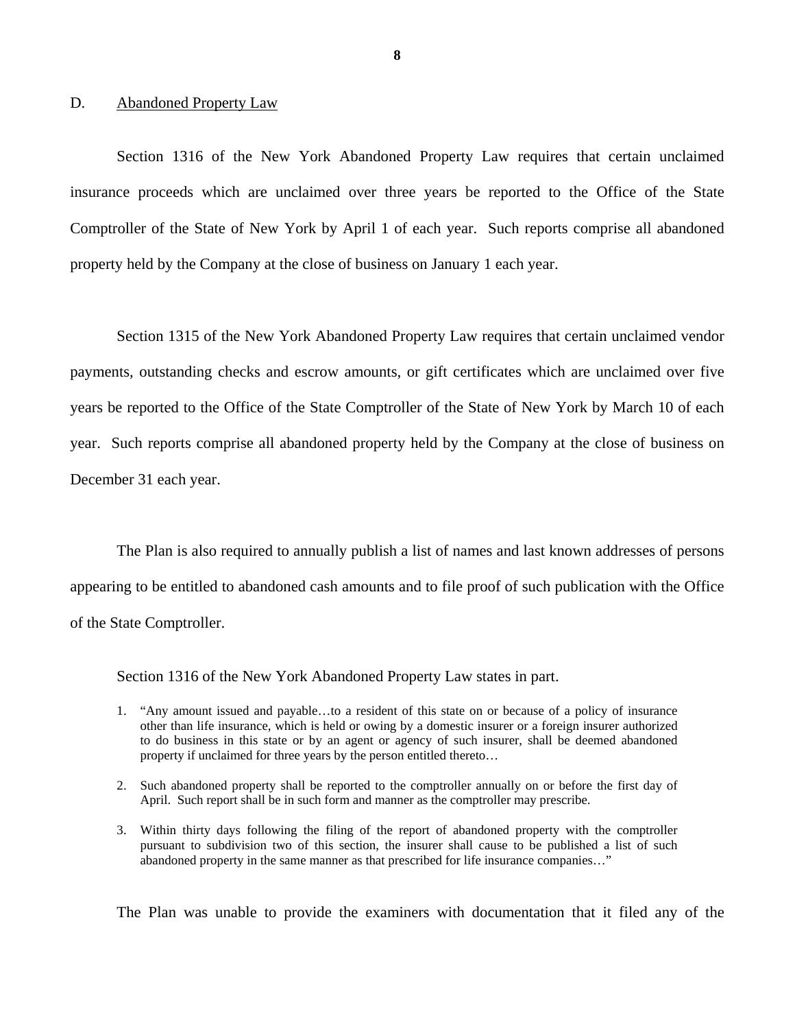#### D. Abandoned Property Law

Section 1316 of the New York Abandoned Property Law requires that certain unclaimed insurance proceeds which are unclaimed over three years be reported to the Office of the State Comptroller of the State of New York by April 1 of each year. Such reports comprise all abandoned property held by the Company at the close of business on January 1 each year.

Section 1315 of the New York Abandoned Property Law requires that certain unclaimed vendor payments, outstanding checks and escrow amounts, or gift certificates which are unclaimed over five years be reported to the Office of the State Comptroller of the State of New York by March 10 of each year. Such reports comprise all abandoned property held by the Company at the close of business on December 31 each year.

The Plan is also required to annually publish a list of names and last known addresses of persons appearing to be entitled to abandoned cash amounts and to file proof of such publication with the Office of the State Comptroller.

Section 1316 of the New York Abandoned Property Law states in part.

- 1. "Any amount issued and payable…to a resident of this state on or because of a policy of insurance other than life insurance, which is held or owing by a domestic insurer or a foreign insurer authorized to do business in this state or by an agent or agency of such insurer, shall be deemed abandoned property if unclaimed for three years by the person entitled thereto…
- 2. Such abandoned property shall be reported to the comptroller annually on or before the first day of April. Such report shall be in such form and manner as the comptroller may prescribe.
- 3. Within thirty days following the filing of the report of abandoned property with the comptroller pursuant to subdivision two of this section, the insurer shall cause to be published a list of such abandoned property in the same manner as that prescribed for life insurance companies…"

The Plan was unable to provide the examiners with documentation that it filed any of the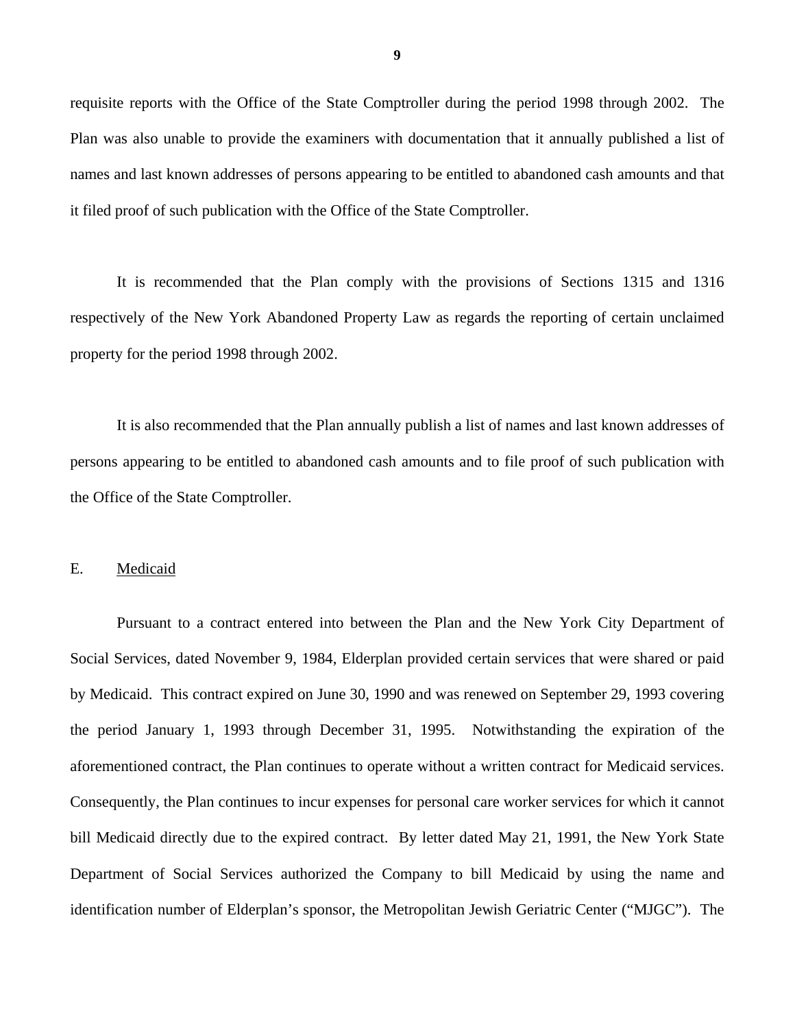requisite reports with the Office of the State Comptroller during the period 1998 through 2002. The Plan was also unable to provide the examiners with documentation that it annually published a list of names and last known addresses of persons appearing to be entitled to abandoned cash amounts and that it filed proof of such publication with the Office of the State Comptroller.

It is recommended that the Plan comply with the provisions of Sections 1315 and 1316 respectively of the New York Abandoned Property Law as regards the reporting of certain unclaimed property for the period 1998 through 2002.

It is also recommended that the Plan annually publish a list of names and last known addresses of persons appearing to be entitled to abandoned cash amounts and to file proof of such publication with the Office of the State Comptroller.

#### E. Medicaid

Pursuant to a contract entered into between the Plan and the New York City Department of Social Services, dated November 9, 1984, Elderplan provided certain services that were shared or paid by Medicaid. This contract expired on June 30, 1990 and was renewed on September 29, 1993 covering the period January 1, 1993 through December 31, 1995. Notwithstanding the expiration of the aforementioned contract, the Plan continues to operate without a written contract for Medicaid services. Consequently, the Plan continues to incur expenses for personal care worker services for which it cannot bill Medicaid directly due to the expired contract. By letter dated May 21, 1991, the New York State Department of Social Services authorized the Company to bill Medicaid by using the name and identification number of Elderplan's sponsor, the Metropolitan Jewish Geriatric Center ("MJGC"). The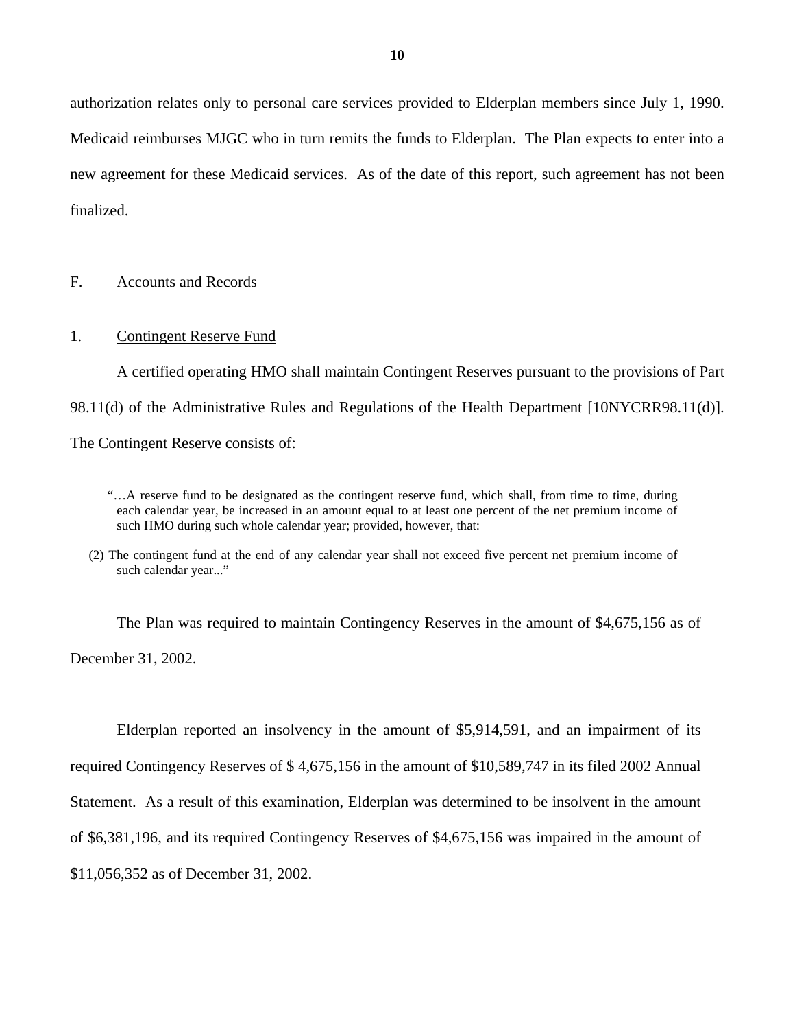authorization relates only to personal care services provided to Elderplan members since July 1, 1990. Medicaid reimburses MJGC who in turn remits the funds to Elderplan. The Plan expects to enter into a new agreement for these Medicaid services. As of the date of this report, such agreement has not been finalized.

#### F. Accounts and Records

#### 1. Contingent Reserve Fund

A certified operating HMO shall maintain Contingent Reserves pursuant to the provisions of Part 98.11(d) of the Administrative Rules and Regulations of the Health Department [10NYCRR98.11(d)]. The Contingent Reserve consists of:

The Plan was required to maintain Contingency Reserves in the amount of \$4,675,156 as of December 31, 2002.

Elderplan reported an insolvency in the amount of \$5,914,591, and an impairment of its required Contingency Reserves of \$ 4,675,156 in the amount of \$10,589,747 in its filed 2002 Annual Statement. As a result of this examination, Elderplan was determined to be insolvent in the amount of \$6,381,196, and its required Contingency Reserves of \$4,675,156 was impaired in the amount of \$11,056,352 as of December 31, 2002.

 such HMO during such whole calendar year; provided, however, that: "…A reserve fund to be designated as the contingent reserve fund, which shall, from time to time, during each calendar year, be increased in an amount equal to at least one percent of the net premium income of

<sup>(2)</sup> The contingent fund at the end of any calendar year shall not exceed five percent net premium income of such calendar year..."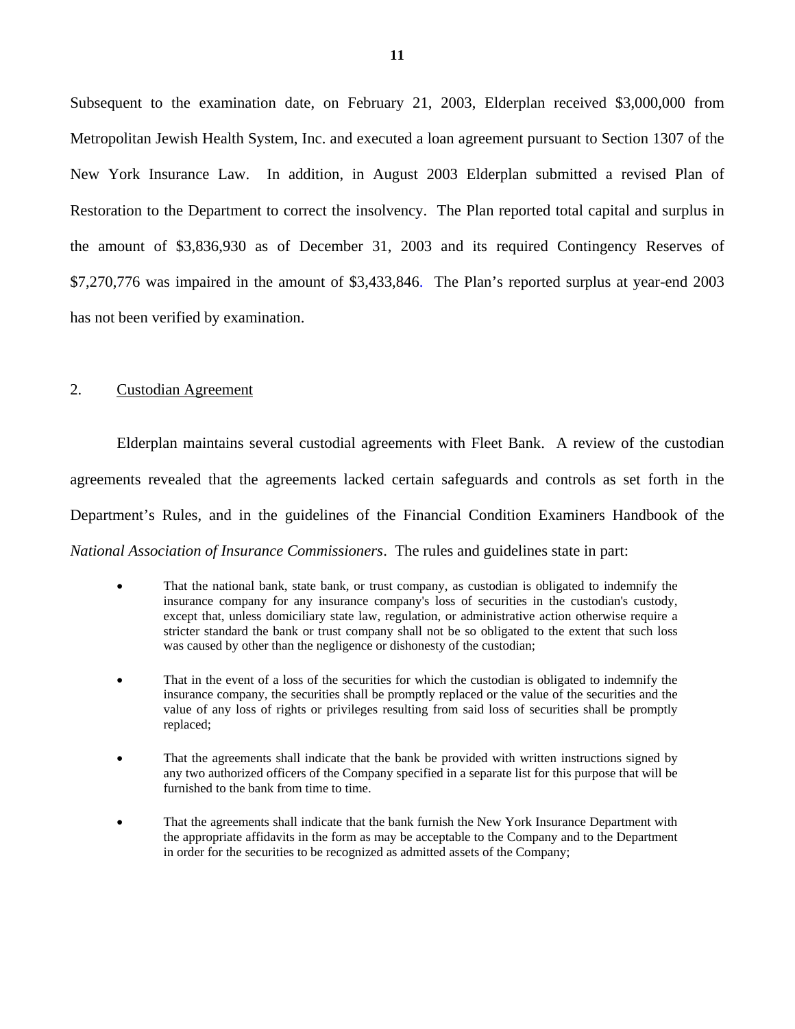Subsequent to the examination date, on February 21, 2003, Elderplan received \$3,000,000 from Metropolitan Jewish Health System, Inc. and executed a loan agreement pursuant to Section 1307 of the New York Insurance Law. In addition, in August 2003 Elderplan submitted a revised Plan of Restoration to the Department to correct the insolvency. The Plan reported total capital and surplus in the amount of \$3,836,930 as of December 31, 2003 and its required Contingency Reserves of \$7,270,776 was impaired in the amount of \$3,433,846. The Plan's reported surplus at year-end 2003 has not been verified by examination.

#### 2. Custodian Agreement

Elderplan maintains several custodial agreements with Fleet Bank. A review of the custodian agreements revealed that the agreements lacked certain safeguards and controls as set forth in the Department's Rules, and in the guidelines of the Financial Condition Examiners Handbook of the *National Association of Insurance Commissioners*. The rules and guidelines state in part:

- was caused by other than the negligence or dishonesty of the custodian; That the national bank, state bank, or trust company, as custodian is obligated to indemnify the insurance company for any insurance company's loss of securities in the custodian's custody, except that, unless domiciliary state law, regulation, or administrative action otherwise require a stricter standard the bank or trust company shall not be so obligated to the extent that such loss
- That in the event of a loss of the securities for which the custodian is obligated to indemnify the insurance company, the securities shall be promptly replaced or the value of the securities and the value of any loss of rights or privileges resulting from said loss of securities shall be promptly replaced;
- That the agreements shall indicate that the bank be provided with written instructions signed by any two authorized officers of the Company specified in a separate list for this purpose that will be furnished to the bank from time to time.
- That the agreements shall indicate that the bank furnish the New York Insurance Department with the appropriate affidavits in the form as may be acceptable to the Company and to the Department in order for the securities to be recognized as admitted assets of the Company;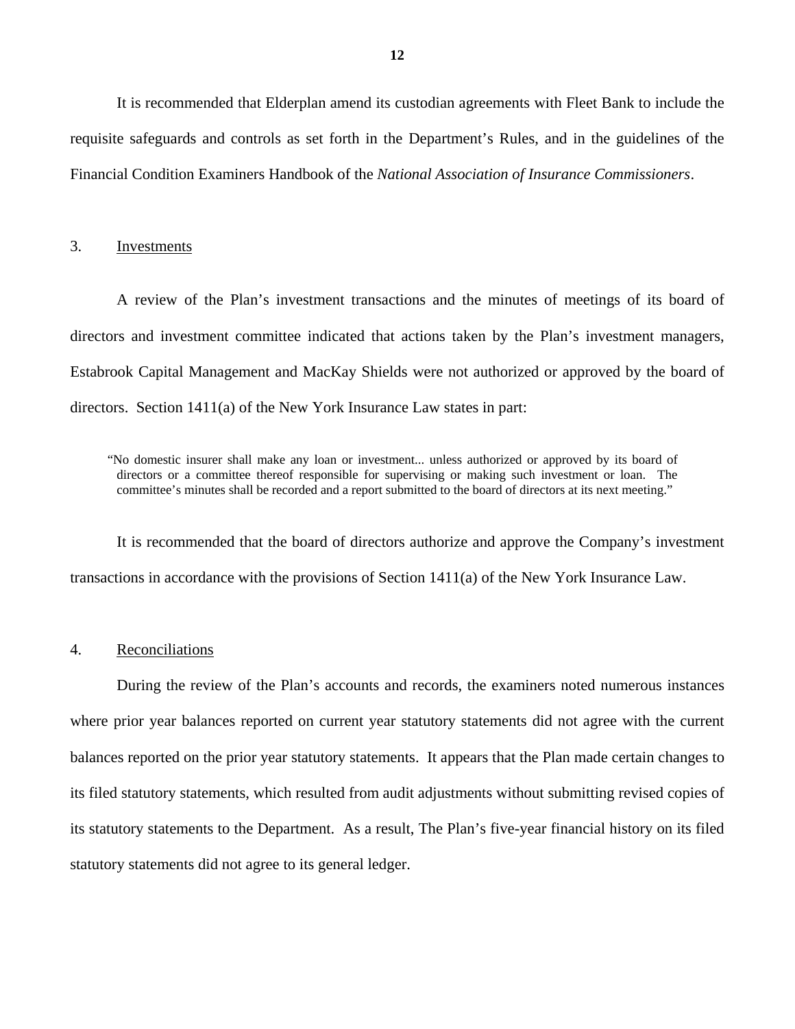It is recommended that Elderplan amend its custodian agreements with Fleet Bank to include the requisite safeguards and controls as set forth in the Department's Rules, and in the guidelines of the Financial Condition Examiners Handbook of the *National Association of Insurance Commissioners*.

#### 3. Investments

A review of the Plan's investment transactions and the minutes of meetings of its board of directors and investment committee indicated that actions taken by the Plan's investment managers, Estabrook Capital Management and MacKay Shields were not authorized or approved by the board of directors. Section 1411(a) of the New York Insurance Law states in part:

"No domestic insurer shall make any loan or investment... unless authorized or approved by its board of directors or a committee thereof responsible for supervising or making such investment or loan. The committee's minutes shall be recorded and a report submitted to the board of directors at its next meeting."

It is recommended that the board of directors authorize and approve the Company's investment transactions in accordance with the provisions of Section 1411(a) of the New York Insurance Law.

## 4. Reconciliations

During the review of the Plan's accounts and records, the examiners noted numerous instances where prior year balances reported on current year statutory statements did not agree with the current balances reported on the prior year statutory statements. It appears that the Plan made certain changes to its filed statutory statements, which resulted from audit adjustments without submitting revised copies of its statutory statements to the Department. As a result, The Plan's five-year financial history on its filed statutory statements did not agree to its general ledger.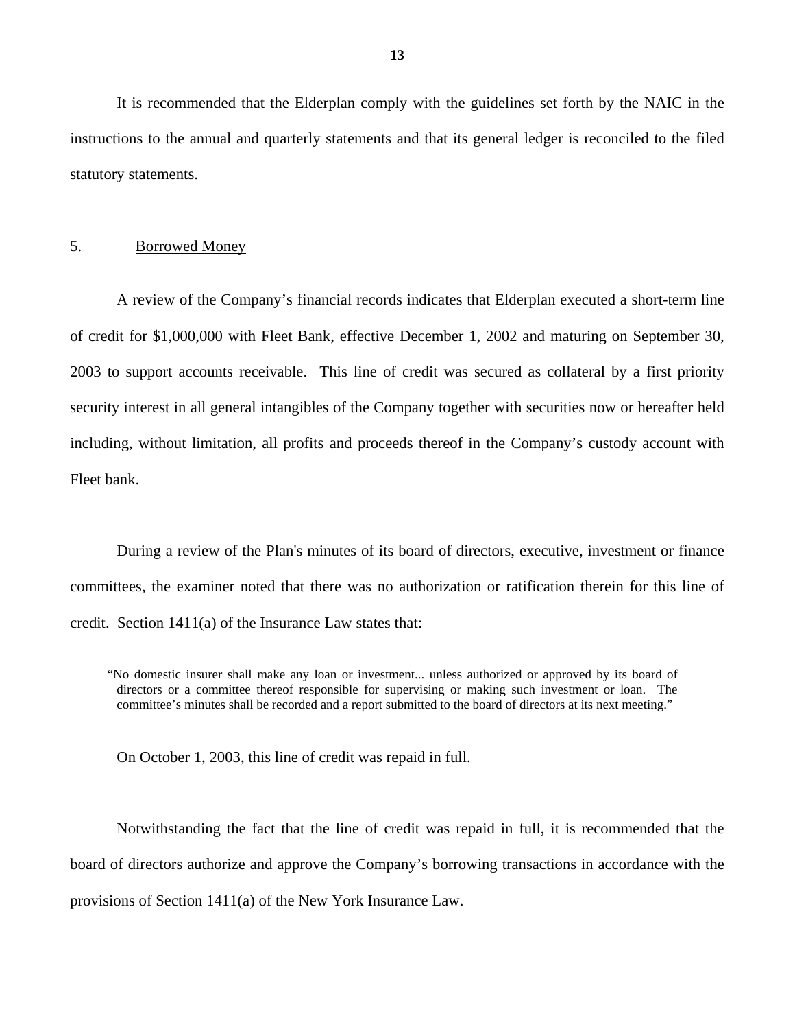It is recommended that the Elderplan comply with the guidelines set forth by the NAIC in the instructions to the annual and quarterly statements and that its general ledger is reconciled to the filed statutory statements.

## 5. Borrowed Money

A review of the Company's financial records indicates that Elderplan executed a short-term line of credit for \$1,000,000 with Fleet Bank, effective December 1, 2002 and maturing on September 30, 2003 to support accounts receivable. This line of credit was secured as collateral by a first priority security interest in all general intangibles of the Company together with securities now or hereafter held including, without limitation, all profits and proceeds thereof in the Company's custody account with Fleet bank.

During a review of the Plan's minutes of its board of directors, executive, investment or finance committees, the examiner noted that there was no authorization or ratification therein for this line of credit. Section 1411(a) of the Insurance Law states that:

On October 1, 2003, this line of credit was repaid in full.

Notwithstanding the fact that the line of credit was repaid in full, it is recommended that the board of directors authorize and approve the Company's borrowing transactions in accordance with the provisions of Section 1411(a) of the New York Insurance Law.

<sup>&</sup>quot;No domestic insurer shall make any loan or investment... unless authorized or approved by its board of directors or a committee thereof responsible for supervising or making such investment or loan. The committee's minutes shall be recorded and a report submitted to the board of directors at its next meeting."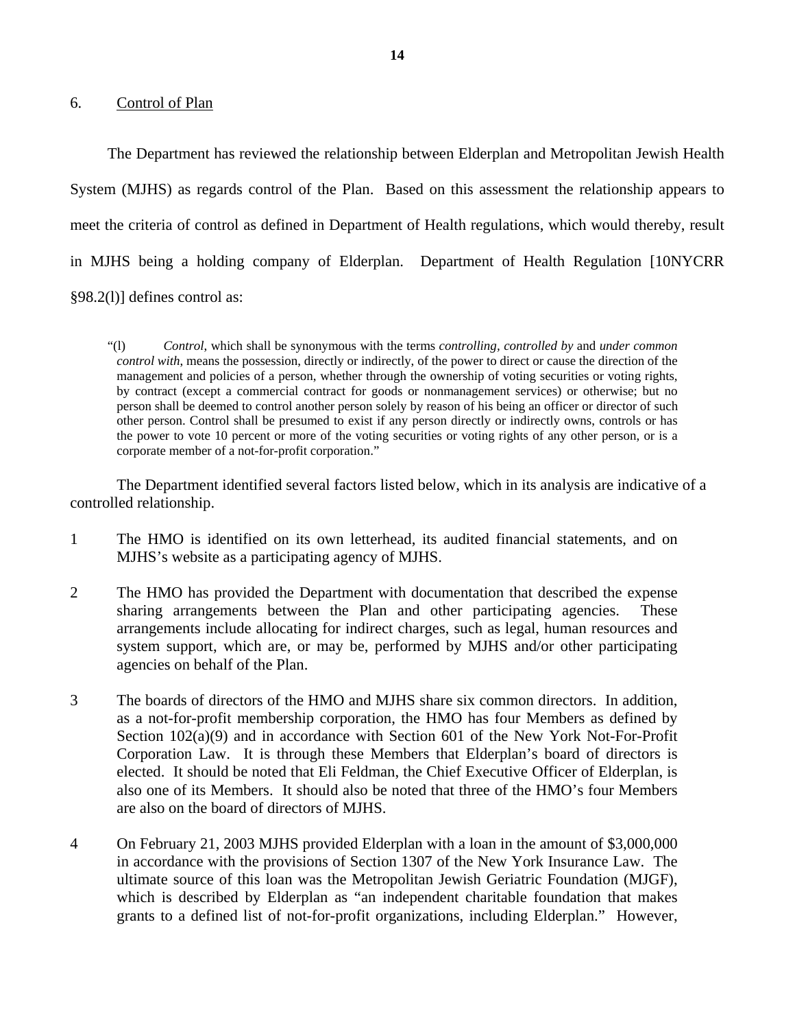6. Control of Plan

The Department has reviewed the relationship between Elderplan and Metropolitan Jewish Health System (MJHS) as regards control of the Plan. Based on this assessment the relationship appears to meet the criteria of control as defined in Department of Health regulations, which would thereby, result in MJHS being a holding company of Elderplan. Department of Health Regulation [10NYCRR §98.2(l)] defines control as:

 person shall be deemed to control another person solely by reason of his being an officer or director of such other person. Control shall be presumed to exist if any person directly or indirectly owns, controls or has the power to vote 10 percent or more of the voting securities or voting rights of any other person, or is a "(l) *Control*, which shall be synonymous with the terms *controlling, controlled by* and *under common control with*, means the possession, directly or indirectly, of the power to direct or cause the direction of the management and policies of a person, whether through the ownership of voting securities or voting rights, by contract (except a commercial contract for goods or nonmanagement services) or otherwise; but no corporate member of a not-for-profit corporation."

The Department identified several factors listed below, which in its analysis are indicative of a controlled relationship.

- 1 The HMO is identified on its own letterhead, its audited financial statements, and on MJHS's website as a participating agency of MJHS.
- 2 The HMO has provided the Department with documentation that described the expense sharing arrangements between the Plan and other participating agencies. These arrangements include allocating for indirect charges, such as legal, human resources and system support, which are, or may be, performed by MJHS and/or other participating agencies on behalf of the Plan.
- 3 The boards of directors of the HMO and MJHS share six common directors. In addition, as a not-for-profit membership corporation, the HMO has four Members as defined by Section  $102(a)(9)$  and in accordance with Section 601 of the New York Not-For-Profit Corporation Law. It is through these Members that Elderplan's board of directors is elected. It should be noted that Eli Feldman, the Chief Executive Officer of Elderplan, is also one of its Members. It should also be noted that three of the HMO's four Members are also on the board of directors of MJHS.
- 4 On February 21, 2003 MJHS provided Elderplan with a loan in the amount of \$3,000,000 in accordance with the provisions of Section 1307 of the New York Insurance Law. The ultimate source of this loan was the Metropolitan Jewish Geriatric Foundation (MJGF), which is described by Elderplan as "an independent charitable foundation that makes grants to a defined list of not-for-profit organizations, including Elderplan." However,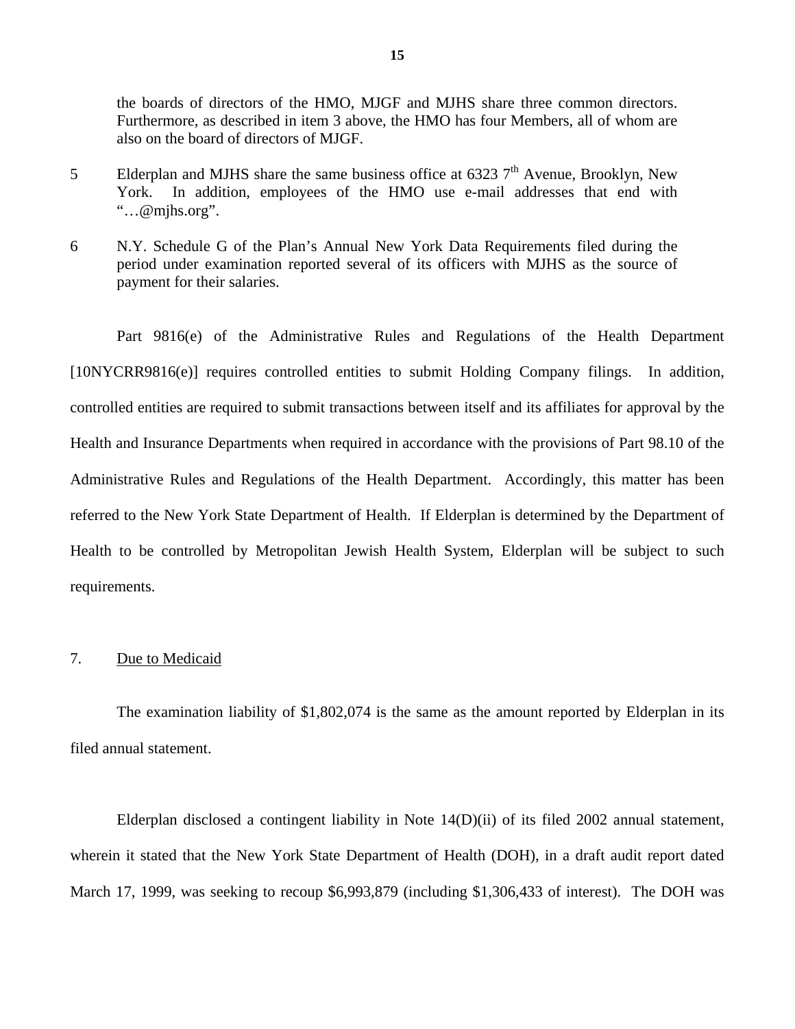the boards of directors of the HMO, MJGF and MJHS share three common directors. Furthermore, as described in item 3 above, the HMO has four Members, all of whom are also on the board of directors of MJGF.

- 5 Elderplan and MJHS share the same business office at 6323  $7<sup>th</sup>$  Avenue, Brooklyn, New York. In addition, employees of the HMO use e-mail addresses that end with "…[@mjhs.org"](https://mjhs.org).
- 6 N.Y. Schedule G of the Plan's Annual New York Data Requirements filed during the period under examination reported several of its officers with MJHS as the source of payment for their salaries.

Part 9816(e) of the Administrative Rules and Regulations of the Health Department [10NYCRR9816(e)] requires controlled entities to submit Holding Company filings. In addition, controlled entities are required to submit transactions between itself and its affiliates for approval by the Health and Insurance Departments when required in accordance with the provisions of Part 98.10 of the Administrative Rules and Regulations of the Health Department. Accordingly, this matter has been referred to the New York State Department of Health. If Elderplan is determined by the Department of Health to be controlled by Metropolitan Jewish Health System, Elderplan will be subject to such requirements.

#### 7. Due to Medicaid

The examination liability of \$1,802,074 is the same as the amount reported by Elderplan in its filed annual statement.

Elderplan disclosed a contingent liability in Note 14(D)(ii) of its filed 2002 annual statement, wherein it stated that the New York State Department of Health (DOH), in a draft audit report dated March 17, 1999, was seeking to recoup \$6,993,879 (including \$1,306,433 of interest). The DOH was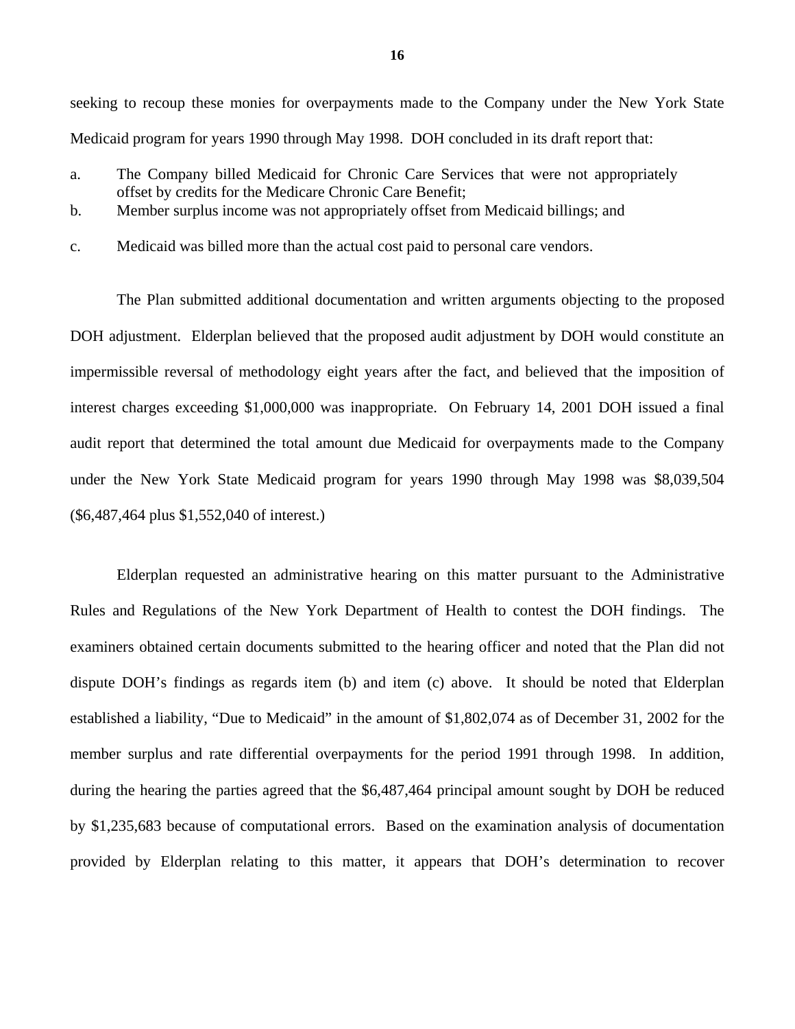seeking to recoup these monies for overpayments made to the Company under the New York State Medicaid program for years 1990 through May 1998. DOH concluded in its draft report that:

- a. The Company billed Medicaid for Chronic Care Services that were not appropriately offset by credits for the Medicare Chronic Care Benefit;
- b. Member surplus income was not appropriately offset from Medicaid billings; and
- c. Medicaid was billed more than the actual cost paid to personal care vendors.

The Plan submitted additional documentation and written arguments objecting to the proposed DOH adjustment. Elderplan believed that the proposed audit adjustment by DOH would constitute an impermissible reversal of methodology eight years after the fact, and believed that the imposition of interest charges exceeding \$1,000,000 was inappropriate. On February 14, 2001 DOH issued a final audit report that determined the total amount due Medicaid for overpayments made to the Company under the New York State Medicaid program for years 1990 through May 1998 was \$8,039,504 (\$6,487,464 plus \$1,552,040 of interest.)

Elderplan requested an administrative hearing on this matter pursuant to the Administrative Rules and Regulations of the New York Department of Health to contest the DOH findings. The examiners obtained certain documents submitted to the hearing officer and noted that the Plan did not dispute DOH's findings as regards item (b) and item (c) above. It should be noted that Elderplan established a liability, "Due to Medicaid" in the amount of \$1,802,074 as of December 31, 2002 for the member surplus and rate differential overpayments for the period 1991 through 1998. In addition, during the hearing the parties agreed that the \$6,487,464 principal amount sought by DOH be reduced by \$1,235,683 because of computational errors. Based on the examination analysis of documentation provided by Elderplan relating to this matter, it appears that DOH's determination to recover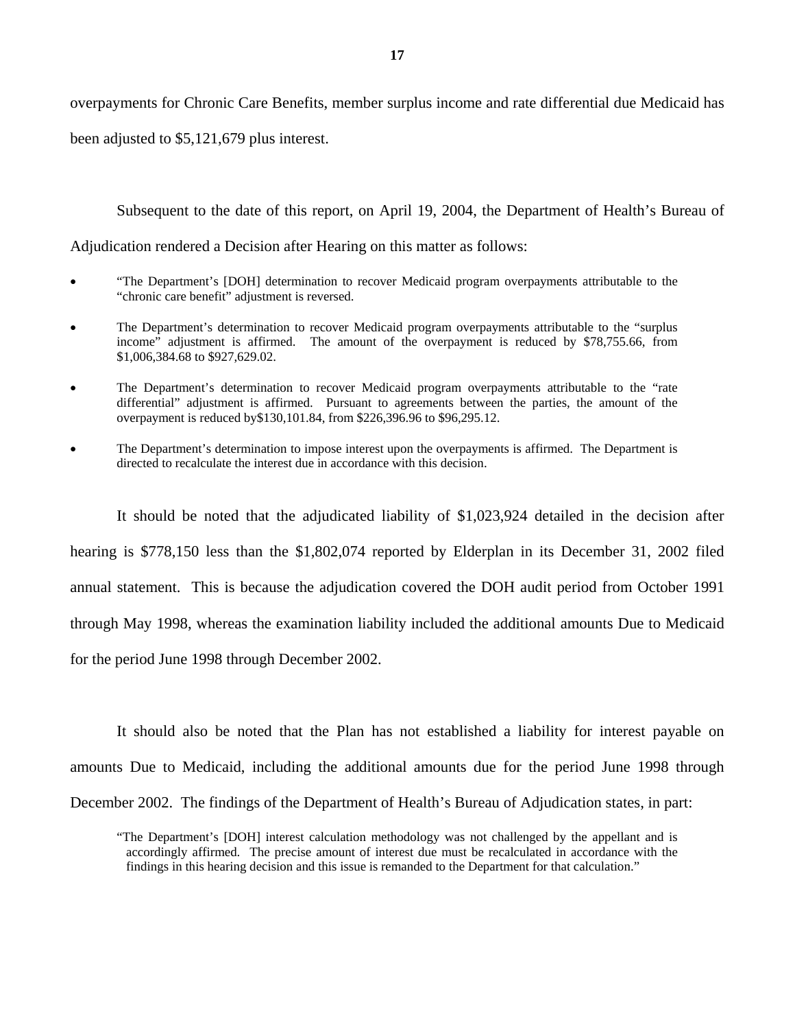overpayments for Chronic Care Benefits, member surplus income and rate differential due Medicaid has been adjusted to \$5,121,679 plus interest.

Subsequent to the date of this report, on April 19, 2004, the Department of Health's Bureau of

Adjudication rendered a Decision after Hearing on this matter as follows:

- • "The Department's [DOH] determination to recover Medicaid program overpayments attributable to the "chronic care benefit" adjustment is reversed.
- The Department's determination to recover Medicaid program overpayments attributable to the "surplus income" adjustment is affirmed. The amount of the overpayment is reduced by \$[78,755.66,](https://78,755.66) from [\\$1,006,384.68](https://1,006,384.68) to [\\$927,629.02](https://927,629.02).
- The Department's determination to recover Medicaid program overpayments attributable to the "rate differential" adjustment is affirmed. Pursuant to agreements between the parties, the amount of the overpayment is reduced [by\\$130,101.84](https://by$130,101.84), from \$[226,396.96](https://226,396.96) to \$[96,295.12.](https://96,295.12)
- The Department's determination to impose interest upon the overpayments is affirmed. The Department is directed to recalculate the interest due in accordance with this decision.

It should be noted that the adjudicated liability of \$1,023,924 detailed in the decision after hearing is \$778,150 less than the \$1,802,074 reported by Elderplan in its December 31, 2002 filed annual statement. This is because the adjudication covered the DOH audit period from October 1991 through May 1998, whereas the examination liability included the additional amounts Due to Medicaid for the period June 1998 through December 2002.

It should also be noted that the Plan has not established a liability for interest payable on amounts Due to Medicaid, including the additional amounts due for the period June 1998 through December 2002. The findings of the Department of Health's Bureau of Adjudication states, in part:

<sup>&</sup>quot;The Department's [DOH] interest calculation methodology was not challenged by the appellant and is accordingly affirmed. The precise amount of interest due must be recalculated in accordance with the findings in this hearing decision and this issue is remanded to the Department for that calculation."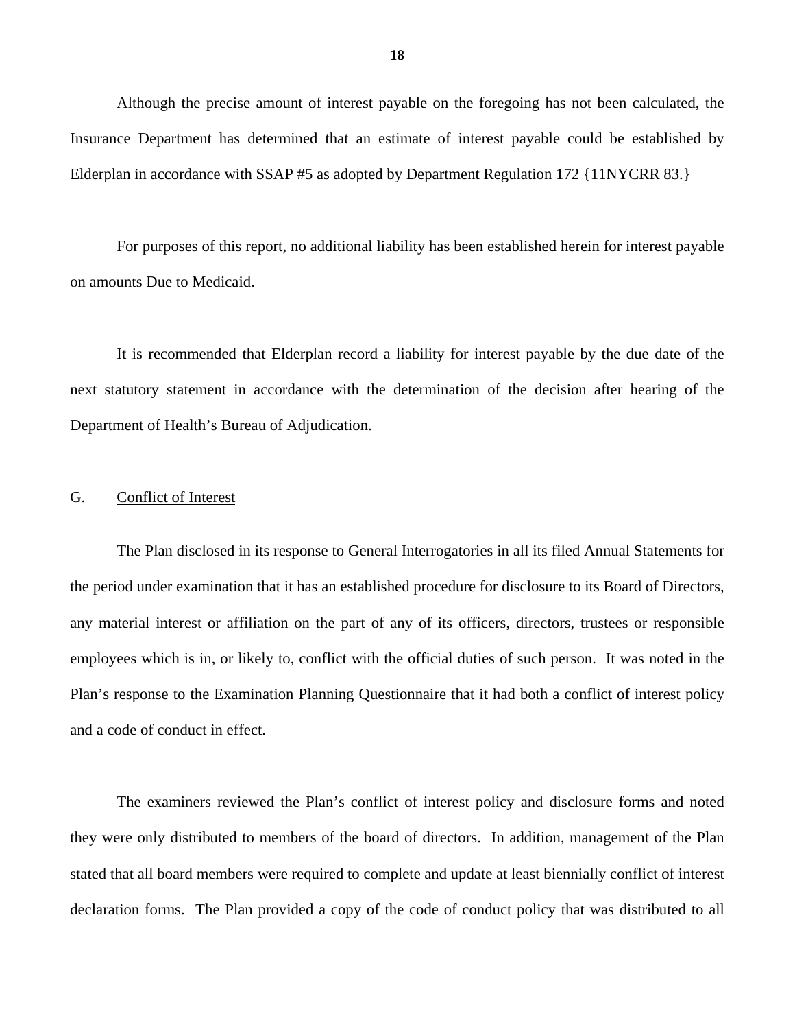Although the precise amount of interest payable on the foregoing has not been calculated, the Insurance Department has determined that an estimate of interest payable could be established by Elderplan in accordance with SSAP #5 as adopted by Department Regulation 172 {11NYCRR 83.}

For purposes of this report, no additional liability has been established herein for interest payable on amounts Due to Medicaid.

It is recommended that Elderplan record a liability for interest payable by the due date of the next statutory statement in accordance with the determination of the decision after hearing of the Department of Health's Bureau of Adjudication.

#### G. Conflict of Interest

The Plan disclosed in its response to General Interrogatories in all its filed Annual Statements for the period under examination that it has an established procedure for disclosure to its Board of Directors, any material interest or affiliation on the part of any of its officers, directors, trustees or responsible employees which is in, or likely to, conflict with the official duties of such person. It was noted in the Plan's response to the Examination Planning Questionnaire that it had both a conflict of interest policy and a code of conduct in effect.

The examiners reviewed the Plan's conflict of interest policy and disclosure forms and noted they were only distributed to members of the board of directors. In addition, management of the Plan stated that all board members were required to complete and update at least biennially conflict of interest declaration forms. The Plan provided a copy of the code of conduct policy that was distributed to all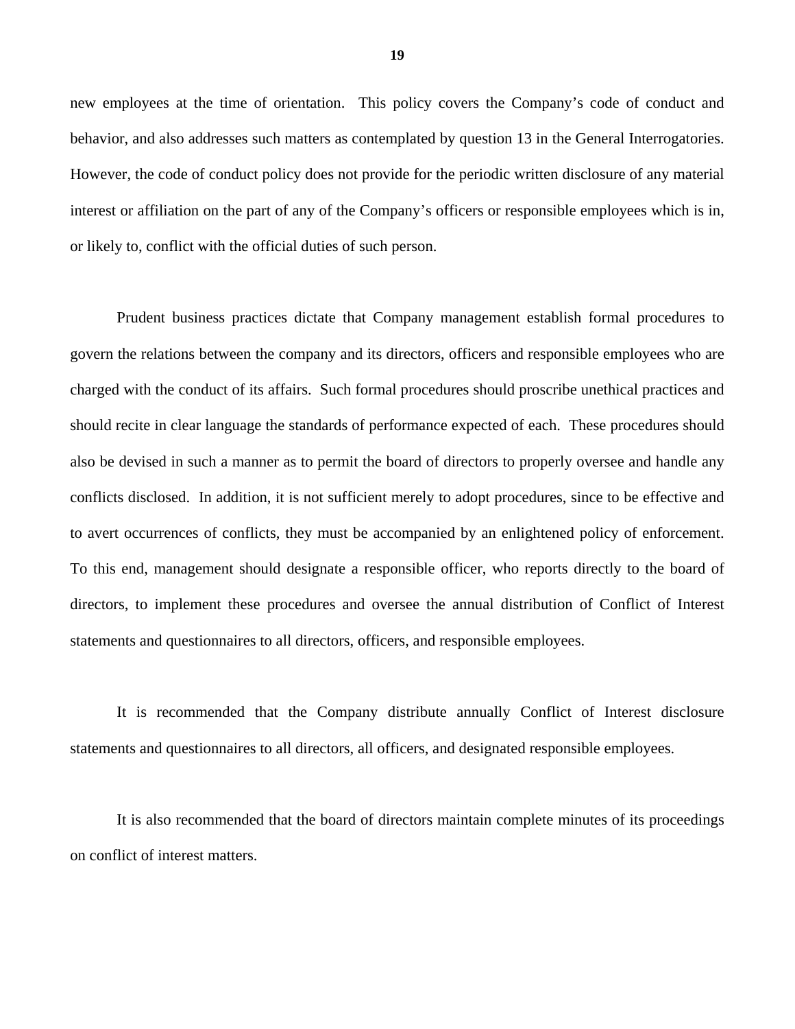behavior, and also addresses such matters as contemplated by question 13 in the General Interrogatories. new employees at the time of orientation. This policy covers the Company's code of conduct and However, the code of conduct policy does not provide for the periodic written disclosure of any material interest or affiliation on the part of any of the Company's officers or responsible employees which is in, or likely to, conflict with the official duties of such person.

 to avert occurrences of conflicts, they must be accompanied by an enlightened policy of enforcement. To this end, management should designate a responsible officer, who reports directly to the board of Prudent business practices dictate that Company management establish formal procedures to govern the relations between the company and its directors, officers and responsible employees who are charged with the conduct of its affairs. Such formal procedures should proscribe unethical practices and should recite in clear language the standards of performance expected of each. These procedures should also be devised in such a manner as to permit the board of directors to properly oversee and handle any conflicts disclosed. In addition, it is not sufficient merely to adopt procedures, since to be effective and directors, to implement these procedures and oversee the annual distribution of Conflict of Interest statements and questionnaires to all directors, officers, and responsible employees.

It is recommended that the Company distribute annually Conflict of Interest disclosure statements and questionnaires to all directors, all officers, and designated responsible employees.

It is also recommended that the board of directors maintain complete minutes of its proceedings on conflict of interest matters.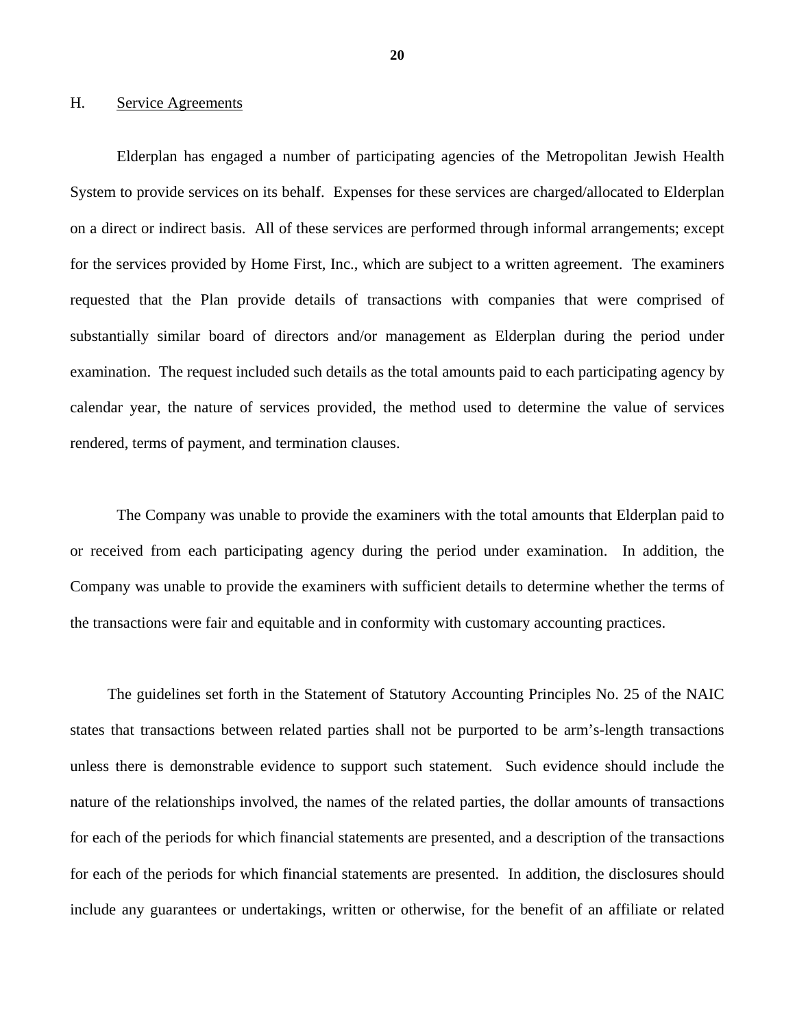#### H. Service Agreements

Elderplan has engaged a number of participating agencies of the Metropolitan Jewish Health System to provide services on its behalf. Expenses for these services are charged/allocated to Elderplan on a direct or indirect basis. All of these services are performed through informal arrangements; except for the services provided by Home First, Inc., which are subject to a written agreement. The examiners requested that the Plan provide details of transactions with companies that were comprised of substantially similar board of directors and/or management as Elderplan during the period under examination. The request included such details as the total amounts paid to each participating agency by calendar year, the nature of services provided, the method used to determine the value of services rendered, terms of payment, and termination clauses.

The Company was unable to provide the examiners with the total amounts that Elderplan paid to or received from each participating agency during the period under examination. In addition, the Company was unable to provide the examiners with sufficient details to determine whether the terms of the transactions were fair and equitable and in conformity with customary accounting practices.

The guidelines set forth in the Statement of Statutory Accounting Principles No. 25 of the NAIC states that transactions between related parties shall not be purported to be arm's-length transactions unless there is demonstrable evidence to support such statement. Such evidence should include the nature of the relationships involved, the names of the related parties, the dollar amounts of transactions for each of the periods for which financial statements are presented, and a description of the transactions for each of the periods for which financial statements are presented. In addition, the disclosures should include any guarantees or undertakings, written or otherwise, for the benefit of an affiliate or related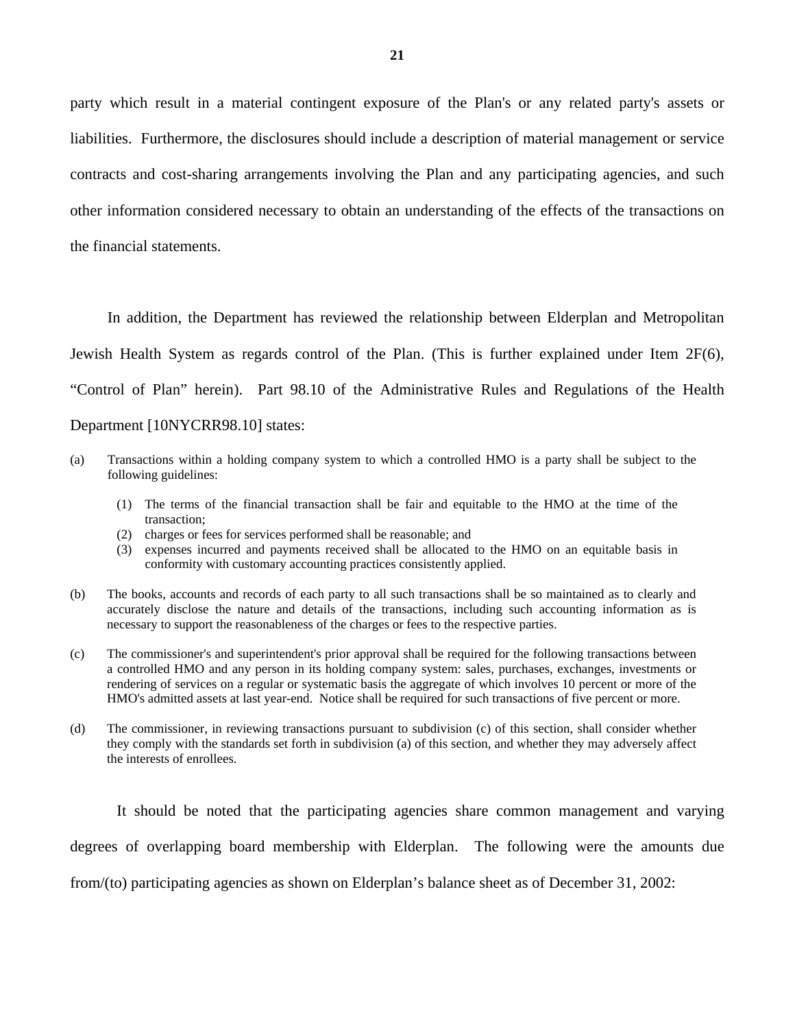party which result in a material contingent exposure of the Plan's or any related party's assets or liabilities. Furthermore, the disclosures should include a description of material management or service contracts and cost-sharing arrangements involving the Plan and any participating agencies, and such other information considered necessary to obtain an understanding of the effects of the transactions on the financial statements.

In addition, the Department has reviewed the relationship between Elderplan and Metropolitan Jewish Health System as regards control of the Plan. (This is further explained under Item 2F(6), "Control of Plan" herein). Part 98.10 of the Administrative Rules and Regulations of the Health Department [[10NYCRR98.10](https://10NYCRR98.10)] states:

- (a) Transactions within a holding company system to which a controlled HMO is a party shall be subject to the following guidelines:
	- (1) The terms of the financial transaction shall be fair and equitable to the HMO at the time of the transaction;
	- (2) charges or fees for services performed shall be reasonable; and
	- (3) expenses incurred and payments received shall be allocated to the HMO on an equitable basis in conformity with customary accounting practices consistently applied.
- (b) The books, accounts and records of each party to all such transactions shall be so maintained as to clearly and accurately disclose the nature and details of the transactions, including such accounting information as is necessary to support the reasonableness of the charges or fees to the respective parties.
- (c) The commissioner's and superintendent's prior approval shall be required for the following transactions between a controlled HMO and any person in its holding company system: sales, purchases, exchanges, investments or rendering of services on a regular or systematic basis the aggregate of which involves 10 percent or more of the HMO's admitted assets at last year-end. Notice shall be required for such transactions of five percent or more.
- they comply with the standards set forth in subdivision (a) of this section, and whether they may adversely affect (d) The commissioner, in reviewing transactions pursuant to subdivision (c) of this section, shall consider whether the interests of enrollees.

It should be noted that the participating agencies share common management and varying degrees of overlapping board membership with Elderplan. The following were the amounts due from/(to) participating agencies as shown on Elderplan's balance sheet as of December 31, 2002: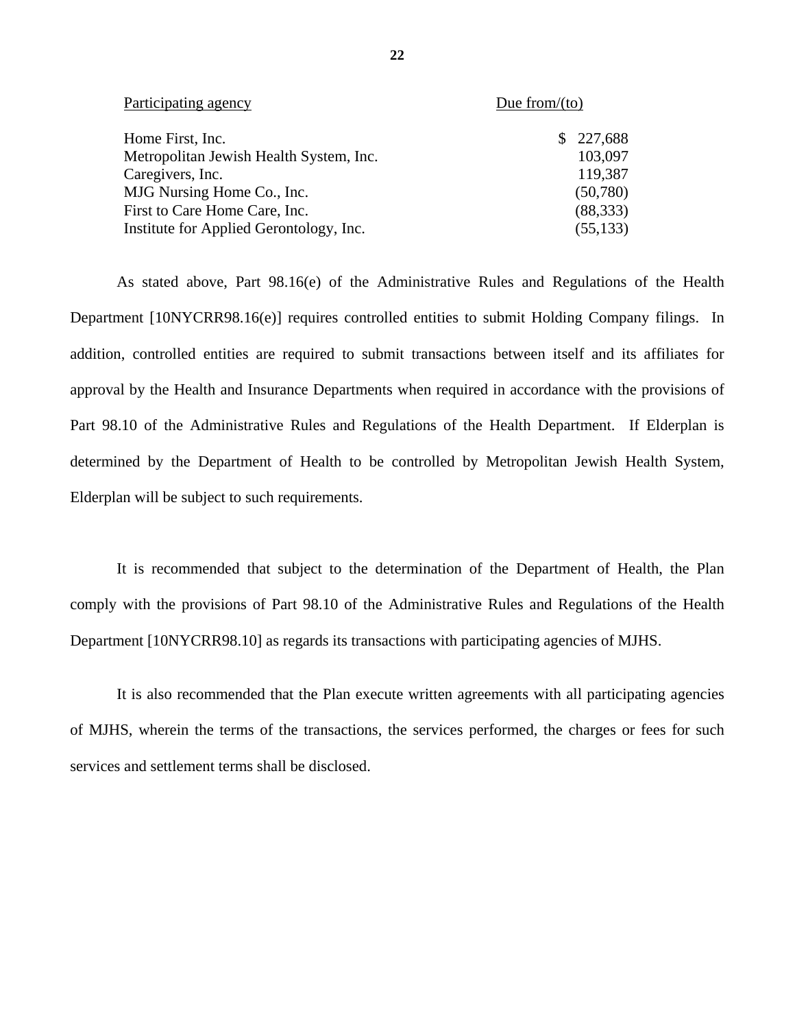| Participating agency                    | Due from/ $(to)$ |
|-----------------------------------------|------------------|
| Home First, Inc.                        | 227,688<br>S.    |
| Metropolitan Jewish Health System, Inc. | 103,097          |
| Caregivers, Inc.                        | 119,387          |
| MJG Nursing Home Co., Inc.              | (50,780)         |
| First to Care Home Care, Inc.           | (88, 333)        |
| Institute for Applied Gerontology, Inc. | (55, 133)        |

As stated above, Part 98.16(e) of the Administrative Rules and Regulations of the Health Department [10NYCRR98.16(e)] requires controlled entities to submit Holding Company filings. In addition, controlled entities are required to submit transactions between itself and its affiliates for approval by the Health and Insurance Departments when required in accordance with the provisions of Part 98.10 of the Administrative Rules and Regulations of the Health Department. If Elderplan is determined by the Department of Health to be controlled by Metropolitan Jewish Health System, Elderplan will be subject to such requirements.

It is recommended that subject to the determination of the Department of Health, the Plan comply with the provisions of Part 98.10 of the Administrative Rules and Regulations of the Health Department [[10NYCRR98.10\]](https://10NYCRR98.10) as regards its transactions with participating agencies of MJHS.

It is also recommended that the Plan execute written agreements with all participating agencies of MJHS, wherein the terms of the transactions, the services performed, the charges or fees for such services and settlement terms shall be disclosed.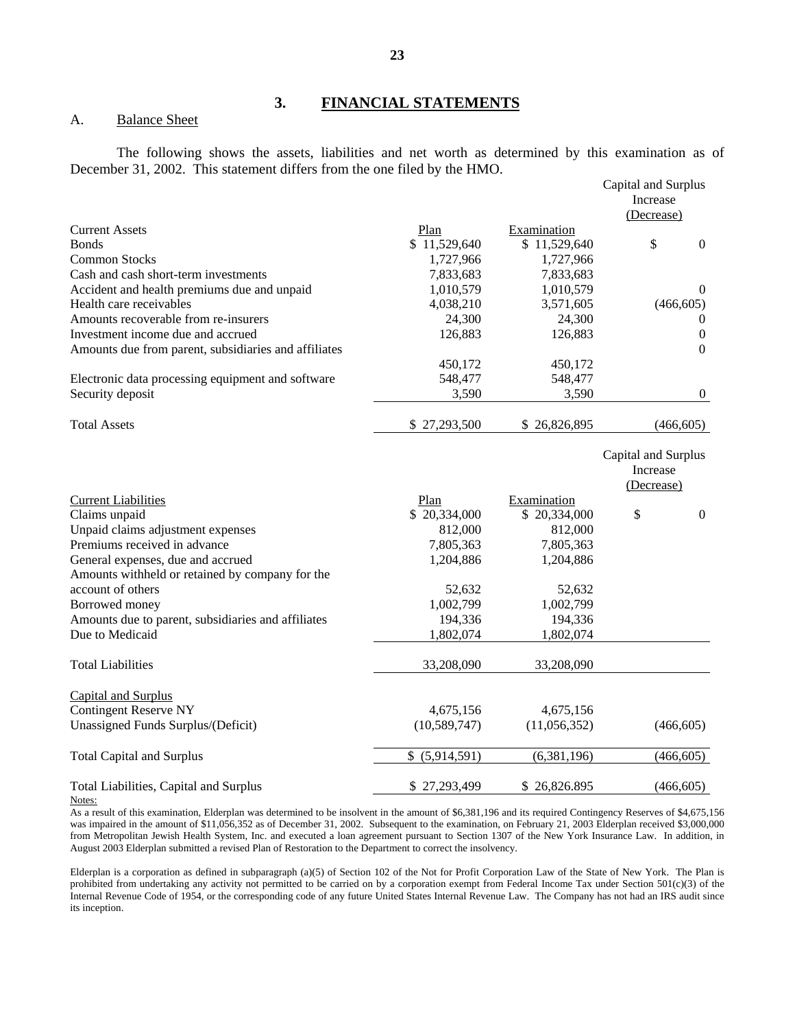#### **3. FINANCIAL STATEMENTS**

#### A. Balance Sheet

The following shows the assets, liabilities and net worth as determined by this examination as of December 31, 2002. This statement differs from the one filed by the HMO.

|                                                      |                      |                             | Capital and Surplus<br>Increase               |
|------------------------------------------------------|----------------------|-----------------------------|-----------------------------------------------|
|                                                      |                      |                             | (Decrease)                                    |
| <b>Current Assets</b><br><b>Bonds</b>                | Plan<br>\$11,529,640 | Examination<br>\$11,529,640 | \$<br>$\boldsymbol{0}$                        |
| <b>Common Stocks</b>                                 | 1,727,966            | 1,727,966                   |                                               |
| Cash and cash short-term investments                 | 7,833,683            | 7,833,683                   |                                               |
| Accident and health premiums due and unpaid          | 1,010,579            | 1,010,579                   | $\theta$                                      |
| Health care receivables                              | 4,038,210            | 3,571,605                   | (466, 605)                                    |
| Amounts recoverable from re-insurers                 | 24,300               | 24,300                      | $\theta$                                      |
| Investment income due and accrued                    | 126,883              | 126,883                     | $\boldsymbol{0}$                              |
| Amounts due from parent, subsidiaries and affiliates |                      |                             | $\mathbf{0}$                                  |
|                                                      | 450,172              | 450,172                     |                                               |
| Electronic data processing equipment and software    | 548,477              | 548,477                     |                                               |
| Security deposit                                     | 3,590                | 3,590                       | $\boldsymbol{0}$                              |
| <b>Total Assets</b>                                  | \$27,293,500         | \$26,826,895                | (466, 605)                                    |
|                                                      |                      |                             | Capital and Surplus<br>Increase<br>(Decrease) |
| <b>Current Liabilities</b>                           | Plan                 | Examination                 |                                               |
| Claims unpaid                                        | \$20,334,000         | \$20,334,000                | \$<br>$\boldsymbol{0}$                        |
| Unpaid claims adjustment expenses                    | 812,000              | 812,000                     |                                               |
| Premiums received in advance                         | 7,805,363            | 7,805,363                   |                                               |
| General expenses, due and accrued                    | 1,204,886            | 1,204,886                   |                                               |
| Amounts withheld or retained by company for the      |                      |                             |                                               |
| account of others                                    | 52,632               | 52,632                      |                                               |
| Borrowed money                                       | 1,002,799            | 1,002,799                   |                                               |
| Amounts due to parent, subsidiaries and affiliates   | 194,336              | 194,336                     |                                               |
| Due to Medicaid                                      | 1,802,074            | 1,802,074                   |                                               |
| <b>Total Liabilities</b>                             | 33,208,090           | 33,208,090                  |                                               |
| Capital and Surplus                                  |                      |                             |                                               |
| <b>Contingent Reserve NY</b>                         | 4,675,156            | 4,675,156                   |                                               |
| Unassigned Funds Surplus/(Deficit)                   | (10, 589, 747)       | (11,056,352)                | (466, 605)                                    |
| <b>Total Capital and Surplus</b>                     | \$ (5,914,591)       | (6,381,196)                 | (466, 605)                                    |
| Total Liabilities, Capital and Surplus               | \$27,293,499         | \$26,826.895                | (466, 605)                                    |
|                                                      |                      |                             |                                               |

#### Notes:

As a result of this examination, Elderplan was determined to be insolvent in the amount of \$6,381,196 and its required Contingency Reserves of \$4,675,156 was impaired in the amount of \$11,056,352 as of December 31, 2002. Subsequent to the examination, on February 21, 2003 Elderplan received \$3,000,000 from Metropolitan Jewish Health System, Inc. and executed a loan agreement pursuant to Section 1307 of the New York Insurance Law. In addition, in August 2003 Elderplan submitted a revised Plan of Restoration to the Department to correct the insolvency.

Elderplan is a corporation as defined in subparagraph (a)(5) of Section 102 of the Not for Profit Corporation Law of the State of New York. The Plan is prohibited from undertaking any activity not permitted to be carried on by a corporation exempt from Federal Income Tax under Section 501(c)(3) of the Internal Revenue Code of 1954, or the corresponding code of any future United States Internal Revenue Law. The Company has not had an IRS audit since its inception.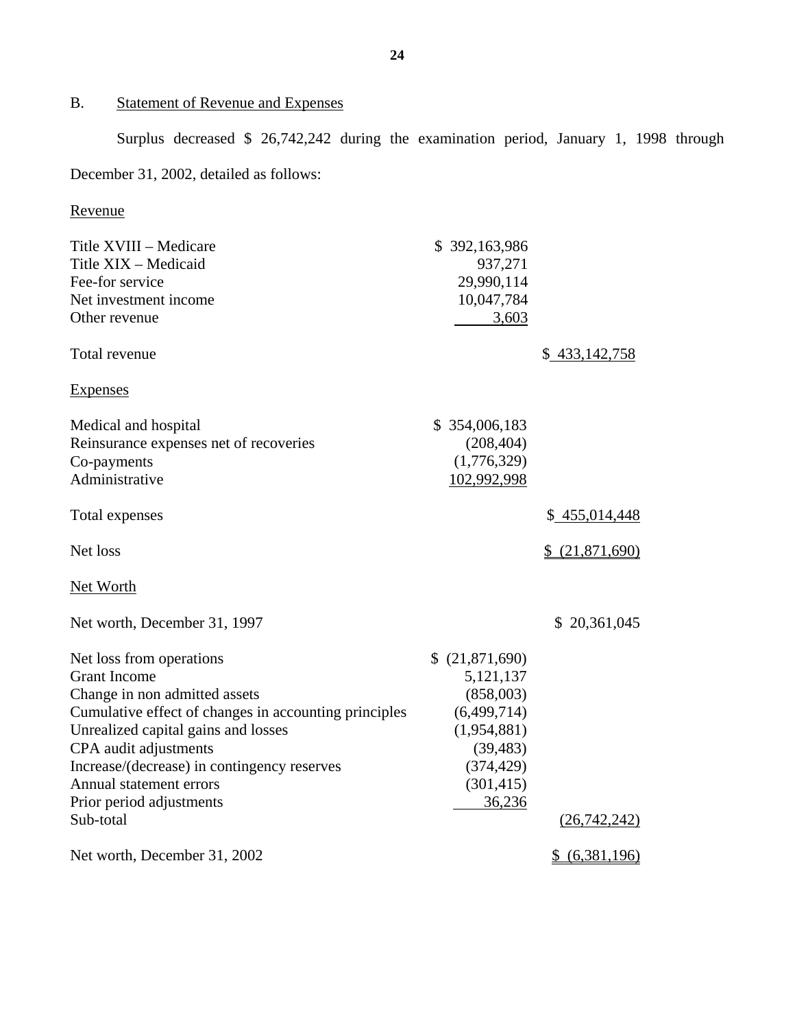# B. Statement of Revenue and Expenses

Surplus decreased \$ 26,742,242 during the examination period, January 1, 1998 through

# December 31, 2002, detailed as follows:

# Revenue

| Title XVIII - Medicare                                | \$392,163,986   |                 |
|-------------------------------------------------------|-----------------|-----------------|
| Title XIX - Medicaid                                  | 937,271         |                 |
| Fee-for service                                       | 29,990,114      |                 |
| Net investment income                                 | 10,047,784      |                 |
| Other revenue                                         | 3,603           |                 |
| Total revenue                                         |                 | \$433,142,758   |
| <b>Expenses</b>                                       |                 |                 |
| Medical and hospital                                  | \$354,006,183   |                 |
| Reinsurance expenses net of recoveries                | (208, 404)      |                 |
| Co-payments                                           | (1,776,329)     |                 |
| Administrative                                        | 102,992,998     |                 |
| Total expenses                                        |                 | \$455,014,448   |
| Net loss                                              |                 | \$ (21,871,690) |
| <b>Net Worth</b>                                      |                 |                 |
| Net worth, December 31, 1997                          |                 | \$20,361,045    |
| Net loss from operations                              | \$ (21,871,690) |                 |
| <b>Grant Income</b>                                   | 5, 121, 137     |                 |
| Change in non admitted assets                         | (858,003)       |                 |
| Cumulative effect of changes in accounting principles | (6,499,714)     |                 |
| Unrealized capital gains and losses                   | (1,954,881)     |                 |
| CPA audit adjustments                                 | (39, 483)       |                 |
| Increase/(decrease) in contingency reserves           | (374, 429)      |                 |
| Annual statement errors                               | (301, 415)      |                 |
| Prior period adjustments                              | 36,236          |                 |
| Sub-total                                             |                 | (26,742,242)    |
| Net worth, December 31, 2002                          |                 | $$$ (6,381,196) |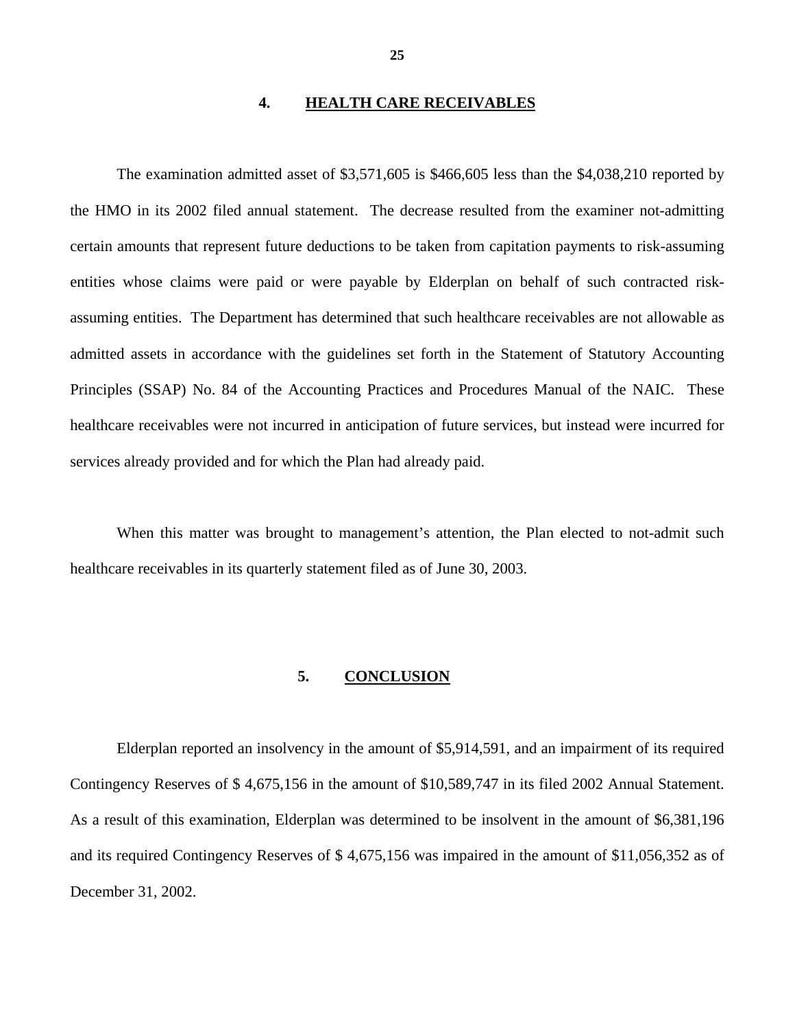#### **4. HEALTH CARE RECEIVABLES**

The examination admitted asset of \$3,571,605 is \$466,605 less than the \$4,038,210 reported by the HMO in its 2002 filed annual statement. The decrease resulted from the examiner not-admitting certain amounts that represent future deductions to be taken from capitation payments to risk-assuming entities whose claims were paid or were payable by Elderplan on behalf of such contracted riskassuming entities. The Department has determined that such healthcare receivables are not allowable as admitted assets in accordance with the guidelines set forth in the Statement of Statutory Accounting Principles (SSAP) No. 84 of the Accounting Practices and Procedures Manual of the NAIC. These healthcare receivables were not incurred in anticipation of future services, but instead were incurred for services already provided and for which the Plan had already paid.

When this matter was brought to management's attention, the Plan elected to not-admit such healthcare receivables in its quarterly statement filed as of June 30, 2003.

#### **5. CONCLUSION**

Elderplan reported an insolvency in the amount of \$5,914,591, and an impairment of its required Contingency Reserves of \$ 4,675,156 in the amount of \$10,589,747 in its filed 2002 Annual Statement. As a result of this examination, Elderplan was determined to be insolvent in the amount of \$6,381,196 and its required Contingency Reserves of \$ 4,675,156 was impaired in the amount of \$11,056,352 as of December 31, 2002.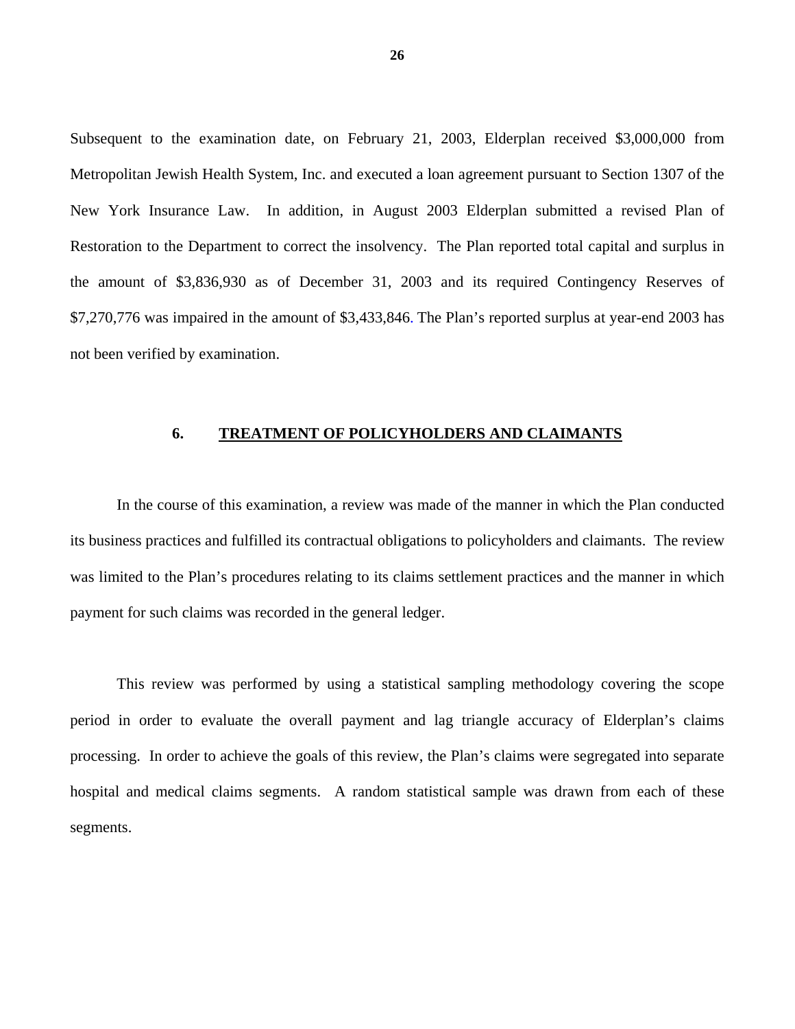Subsequent to the examination date, on February 21, 2003, Elderplan received \$3,000,000 from Metropolitan Jewish Health System, Inc. and executed a loan agreement pursuant to Section 1307 of the New York Insurance Law. In addition, in August 2003 Elderplan submitted a revised Plan of Restoration to the Department to correct the insolvency. The Plan reported total capital and surplus in the amount of \$3,836,930 as of December 31, 2003 and its required Contingency Reserves of \$7,270,776 was impaired in the amount of \$3,433,846. The Plan's reported surplus at year-end 2003 has not been verified by examination.

#### **6. TREATMENT OF POLICYHOLDERS AND CLAIMANTS**

In the course of this examination, a review was made of the manner in which the Plan conducted its business practices and fulfilled its contractual obligations to policyholders and claimants. The review was limited to the Plan's procedures relating to its claims settlement practices and the manner in which payment for such claims was recorded in the general ledger.

This review was performed by using a statistical sampling methodology covering the scope period in order to evaluate the overall payment and lag triangle accuracy of Elderplan's claims processing. In order to achieve the goals of this review, the Plan's claims were segregated into separate hospital and medical claims segments. A random statistical sample was drawn from each of these segments.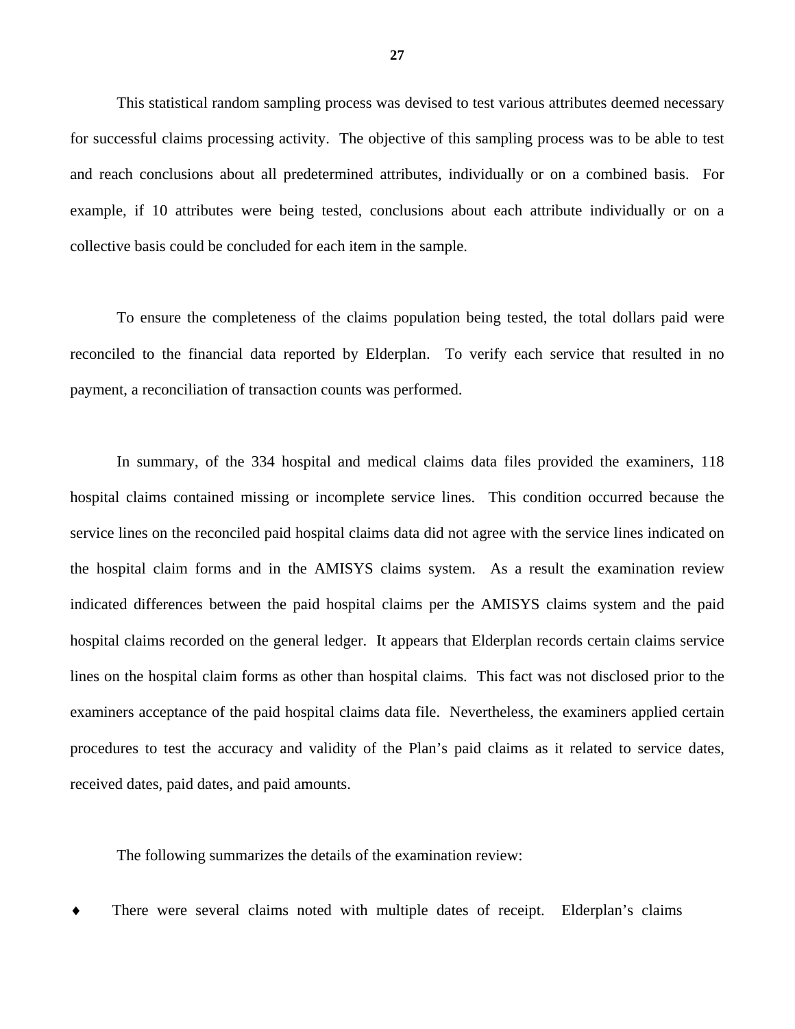This statistical random sampling process was devised to test various attributes deemed necessary for successful claims processing activity. The objective of this sampling process was to be able to test and reach conclusions about all predetermined attributes, individually or on a combined basis. For example, if 10 attributes were being tested, conclusions about each attribute individually or on a collective basis could be concluded for each item in the sample.

To ensure the completeness of the claims population being tested, the total dollars paid were reconciled to the financial data reported by Elderplan. To verify each service that resulted in no payment, a reconciliation of transaction counts was performed.

In summary, of the 334 hospital and medical claims data files provided the examiners, 118 hospital claims contained missing or incomplete service lines. This condition occurred because the service lines on the reconciled paid hospital claims data did not agree with the service lines indicated on the hospital claim forms and in the AMISYS claims system. As a result the examination review indicated differences between the paid hospital claims per the AMISYS claims system and the paid hospital claims recorded on the general ledger. It appears that Elderplan records certain claims service lines on the hospital claim forms as other than hospital claims. This fact was not disclosed prior to the examiners acceptance of the paid hospital claims data file. Nevertheless, the examiners applied certain procedures to test the accuracy and validity of the Plan's paid claims as it related to service dates, received dates, paid dates, and paid amounts.

The following summarizes the details of the examination review:

There were several claims noted with multiple dates of receipt. Elderplan's claims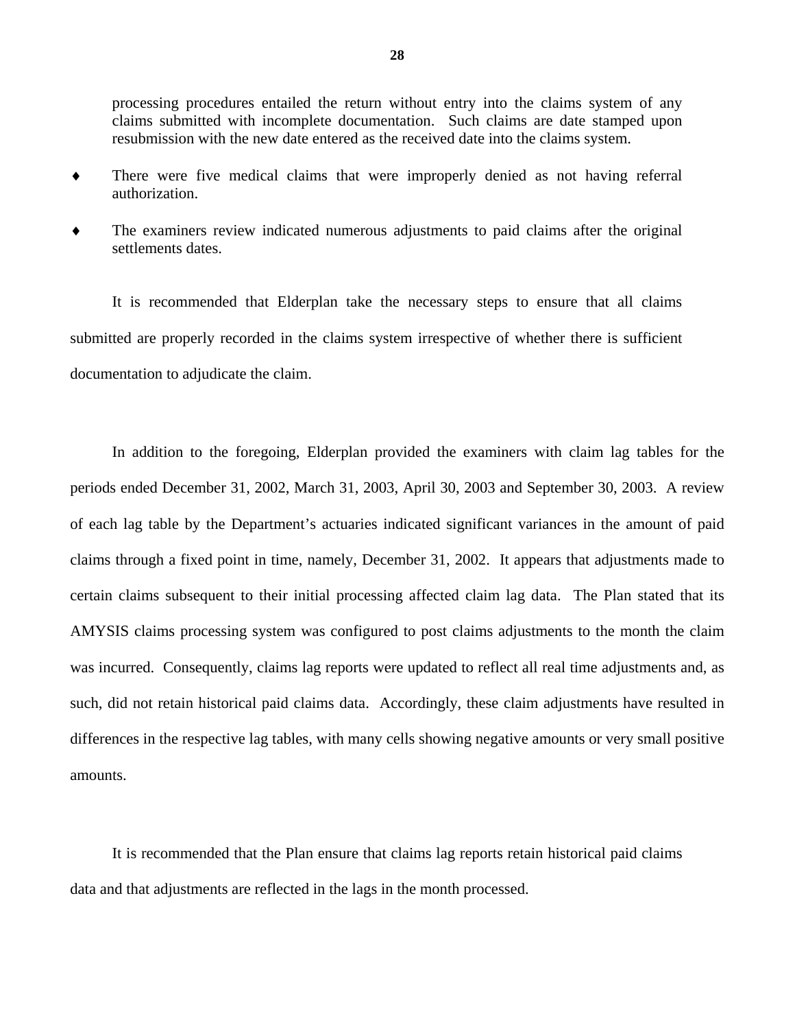processing procedures entailed the return without entry into the claims system of any claims submitted with incomplete documentation. Such claims are date stamped upon resubmission with the new date entered as the received date into the claims system.

- ♦ There were five medical claims that were improperly denied as not having referral authorization.
- ♦ The examiners review indicated numerous adjustments to paid claims after the original settlements dates.

It is recommended that Elderplan take the necessary steps to ensure that all claims submitted are properly recorded in the claims system irrespective of whether there is sufficient documentation to adjudicate the claim.

In addition to the foregoing, Elderplan provided the examiners with claim lag tables for the periods ended December 31, 2002, March 31, 2003, April 30, 2003 and September 30, 2003. A review of each lag table by the Department's actuaries indicated significant variances in the amount of paid claims through a fixed point in time, namely, December 31, 2002. It appears that adjustments made to certain claims subsequent to their initial processing affected claim lag data. The Plan stated that its AMYSIS claims processing system was configured to post claims adjustments to the month the claim was incurred. Consequently, claims lag reports were updated to reflect all real time adjustments and, as such, did not retain historical paid claims data. Accordingly, these claim adjustments have resulted in differences in the respective lag tables, with many cells showing negative amounts or very small positive amounts.

It is recommended that the Plan ensure that claims lag reports retain historical paid claims data and that adjustments are reflected in the lags in the month processed.

**28**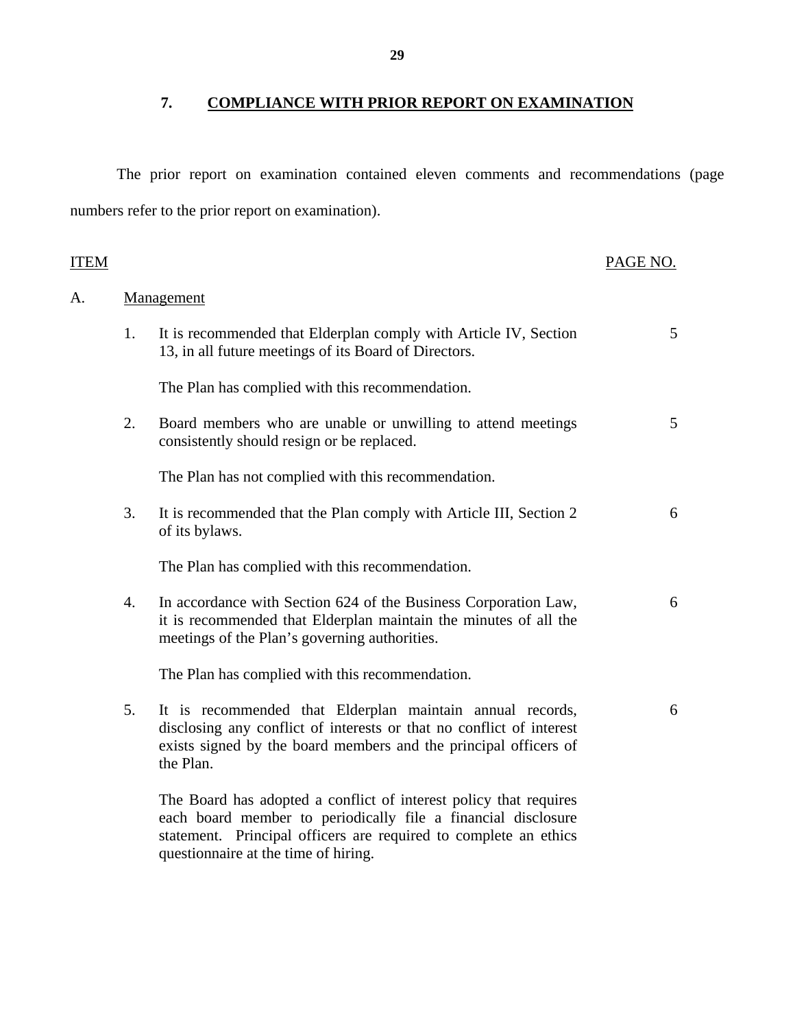## **7. COMPLIANCE WITH PRIOR REPORT ON EXAMINATION**

The prior report on examination contained eleven comments and recommendations (page numbers refer to the prior report on examination).

| ITEM |    |                                                                                                                                                                                                                                                | PAGE NO. |
|------|----|------------------------------------------------------------------------------------------------------------------------------------------------------------------------------------------------------------------------------------------------|----------|
| A.   |    | Management                                                                                                                                                                                                                                     |          |
|      | 1. | It is recommended that Elderplan comply with Article IV, Section<br>13, in all future meetings of its Board of Directors.                                                                                                                      | 5        |
|      |    | The Plan has complied with this recommendation.                                                                                                                                                                                                |          |
|      | 2. | Board members who are unable or unwilling to attend meetings<br>consistently should resign or be replaced.                                                                                                                                     | 5        |
|      |    | The Plan has not complied with this recommendation.                                                                                                                                                                                            |          |
|      | 3. | It is recommended that the Plan comply with Article III, Section 2<br>of its bylaws.                                                                                                                                                           | 6        |
|      |    | The Plan has complied with this recommendation.                                                                                                                                                                                                |          |
|      | 4. | In accordance with Section 624 of the Business Corporation Law,<br>it is recommended that Elderplan maintain the minutes of all the<br>meetings of the Plan's governing authorities.                                                           | 6        |
|      |    | The Plan has complied with this recommendation.                                                                                                                                                                                                |          |
|      | 5. | It is recommended that Elderplan maintain annual records,<br>disclosing any conflict of interests or that no conflict of interest<br>exists signed by the board members and the principal officers of<br>the Plan.                             | 6        |
|      |    | The Board has adopted a conflict of interest policy that requires<br>each board member to periodically file a financial disclosure<br>statement. Principal officers are required to complete an ethics<br>questionnaire at the time of hiring. |          |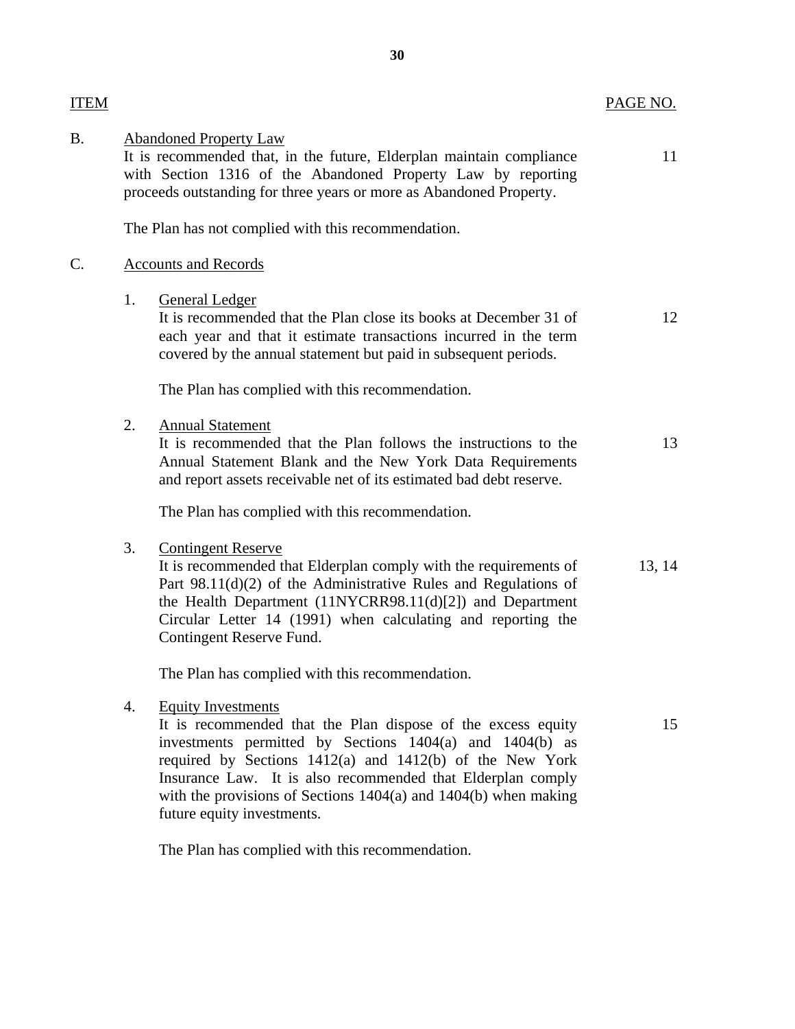| PAGE NO. |  |
|----------|--|
|----------|--|

| <b>ITEM</b> |    |                                                                                                                                                                                                                                                                                                                                                                                       | PAGE NO. |
|-------------|----|---------------------------------------------------------------------------------------------------------------------------------------------------------------------------------------------------------------------------------------------------------------------------------------------------------------------------------------------------------------------------------------|----------|
| <b>B.</b>   |    | <b>Abandoned Property Law</b><br>It is recommended that, in the future, Elderplan maintain compliance<br>with Section 1316 of the Abandoned Property Law by reporting<br>proceeds outstanding for three years or more as Abandoned Property.                                                                                                                                          | 11       |
|             |    | The Plan has not complied with this recommendation.                                                                                                                                                                                                                                                                                                                                   |          |
| C.          |    | <b>Accounts and Records</b>                                                                                                                                                                                                                                                                                                                                                           |          |
|             | 1. | <b>General Ledger</b><br>It is recommended that the Plan close its books at December 31 of<br>each year and that it estimate transactions incurred in the term<br>covered by the annual statement but paid in subsequent periods.                                                                                                                                                     | 12       |
|             |    | The Plan has complied with this recommendation.                                                                                                                                                                                                                                                                                                                                       |          |
|             | 2. | <b>Annual Statement</b><br>It is recommended that the Plan follows the instructions to the<br>Annual Statement Blank and the New York Data Requirements<br>and report assets receivable net of its estimated bad debt reserve.                                                                                                                                                        | 13       |
|             |    | The Plan has complied with this recommendation.                                                                                                                                                                                                                                                                                                                                       |          |
|             | 3. | <b>Contingent Reserve</b><br>It is recommended that Elderplan comply with the requirements of<br>Part 98.11(d)(2) of the Administrative Rules and Regulations of<br>the Health Department (11NYCRR98.11(d)[2]) and Department<br>Circular Letter 14 (1991) when calculating and reporting the<br>Contingent Reserve Fund.                                                             | 13, 14   |
|             |    | The Plan has complied with this recommendation.                                                                                                                                                                                                                                                                                                                                       |          |
|             | 4. | <b>Equity Investments</b><br>It is recommended that the Plan dispose of the excess equity<br>investments permitted by Sections 1404(a) and 1404(b) as<br>required by Sections 1412(a) and 1412(b) of the New York<br>Insurance Law. It is also recommended that Elderplan comply<br>with the provisions of Sections $1404(a)$ and $1404(b)$ when making<br>future equity investments. | 15       |

The Plan has complied with this recommendation.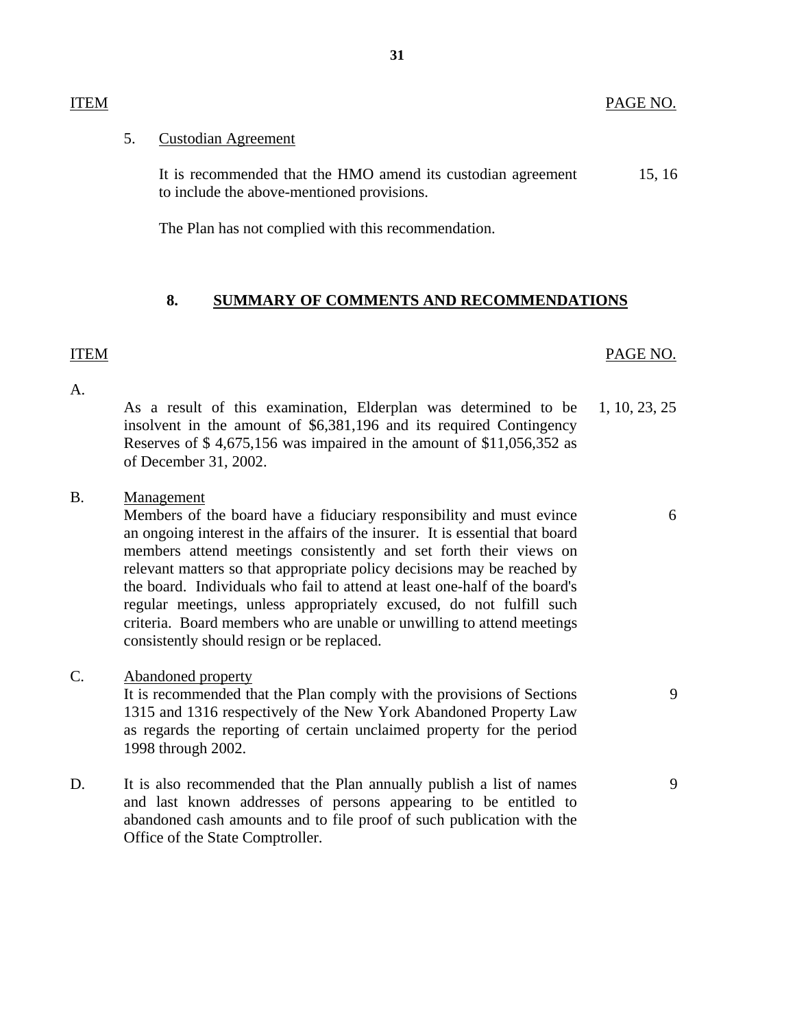#### ITEM PAGE NO.

#### 5. Custodian Agreement

It is recommended that the HMO amend its custodian agreement 15, 16 to include the above-mentioned provisions.

The Plan has not complied with this recommendation.

#### **8. SUMMARY OF COMMENTS AND RECOMMENDATIONS**

#### ITEM PAGE NO.

 $A_{\cdot}$ 

A. As a result of this examination, Elderplan was determined to be 1, 10, 23, 25 insolvent in the amount of \$6,381,196 and its required Contingency Reserves of \$ 4,675,156 was impaired in the amount of \$11,056,352 as of December 31, 2002.

## B. Management

Members of the board have a fiduciary responsibility and must evince 6 an ongoing interest in the affairs of the insurer. It is essential that board members attend meetings consistently and set forth their views on relevant matters so that appropriate policy decisions may be reached by the board. Individuals who fail to attend at least one-half of the board's regular meetings, unless appropriately excused, do not fulfill such criteria. Board members who are unable or unwilling to attend meetings consistently should resign or be replaced.

#### C. Abandoned property

It is recommended that the Plan comply with the provisions of Sections 9 1315 and 1316 respectively of the New York Abandoned Property Law as regards the reporting of certain unclaimed property for the period 1998 through 2002.

D. It is also recommended that the Plan annually publish a list of names 9 and last known addresses of persons appearing to be entitled to abandoned cash amounts and to file proof of such publication with the Office of the State Comptroller.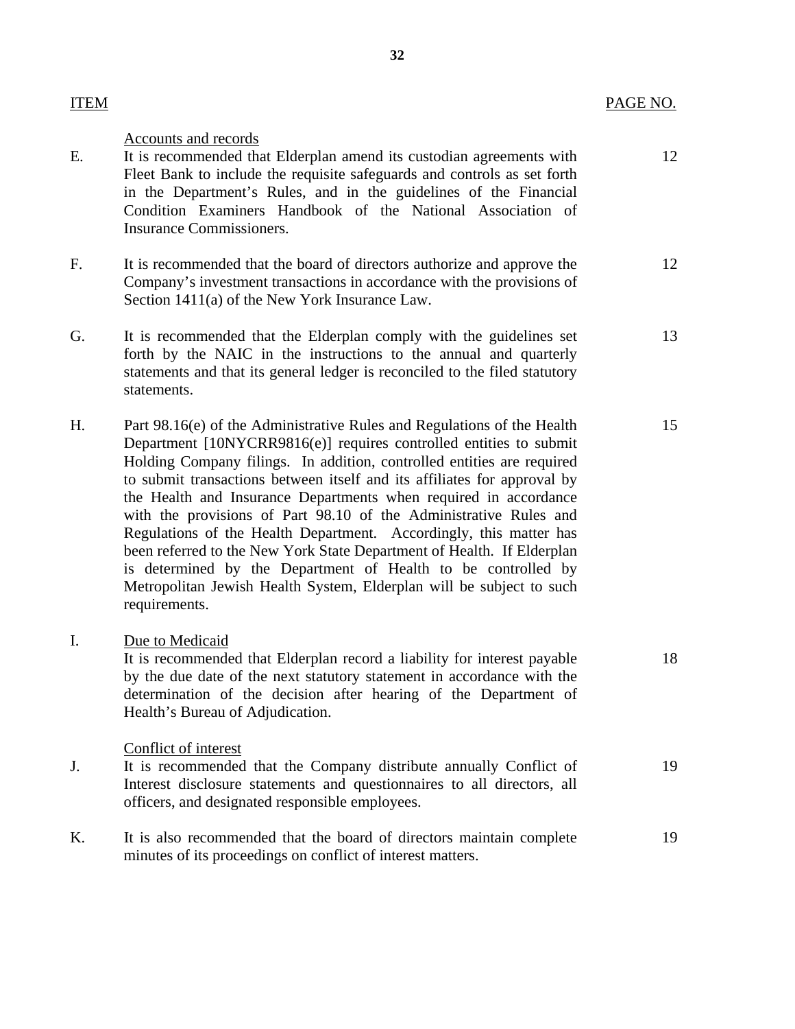| ITEM | PAGE NO. |
|------|----------|
|      |          |

#### Accounts and records

- E. It is recommended that Elderplan amend its custodian agreements with 12 Fleet Bank to include the requisite safeguards and controls as set forth in the Department's Rules, and in the guidelines of the Financial Condition Examiners Handbook of the National Association of Insurance Commissioners.
- F. It is recommended that the board of directors authorize and approve the 12 Company's investment transactions in accordance with the provisions of Section 1411(a) of the New York Insurance Law.
- G. It is recommended that the Elderplan comply with the guidelines set 13 forth by the NAIC in the instructions to the annual and quarterly statements and that its general ledger is reconciled to the filed statutory statements.
- H. Part 98.16(e) of the Administrative Rules and Regulations of the Health 15 Department [10NYCRR9816(e)] requires controlled entities to submit Holding Company filings. In addition, controlled entities are required to submit transactions between itself and its affiliates for approval by the Health and Insurance Departments when required in accordance with the provisions of Part 98.10 of the Administrative Rules and Regulations of the Health Department. Accordingly, this matter has been referred to the New York State Department of Health. If Elderplan is determined by the Department of Health to be controlled by Metropolitan Jewish Health System, Elderplan will be subject to such requirements.
- I. Due to Medicaid It is recommended that Elderplan record a liability for interest payable 18 by the due date of the next statutory statement in accordance with the determination of the decision after hearing of the Department of Health's Bureau of Adjudication. Conflict of interest J. It is recommended that the Company distribute annually Conflict of 19 Interest disclosure statements and questionnaires to all directors, all officers, and designated responsible employees.
- K. It is also recommended that the board of directors maintain complete 19 minutes of its proceedings on conflict of interest matters.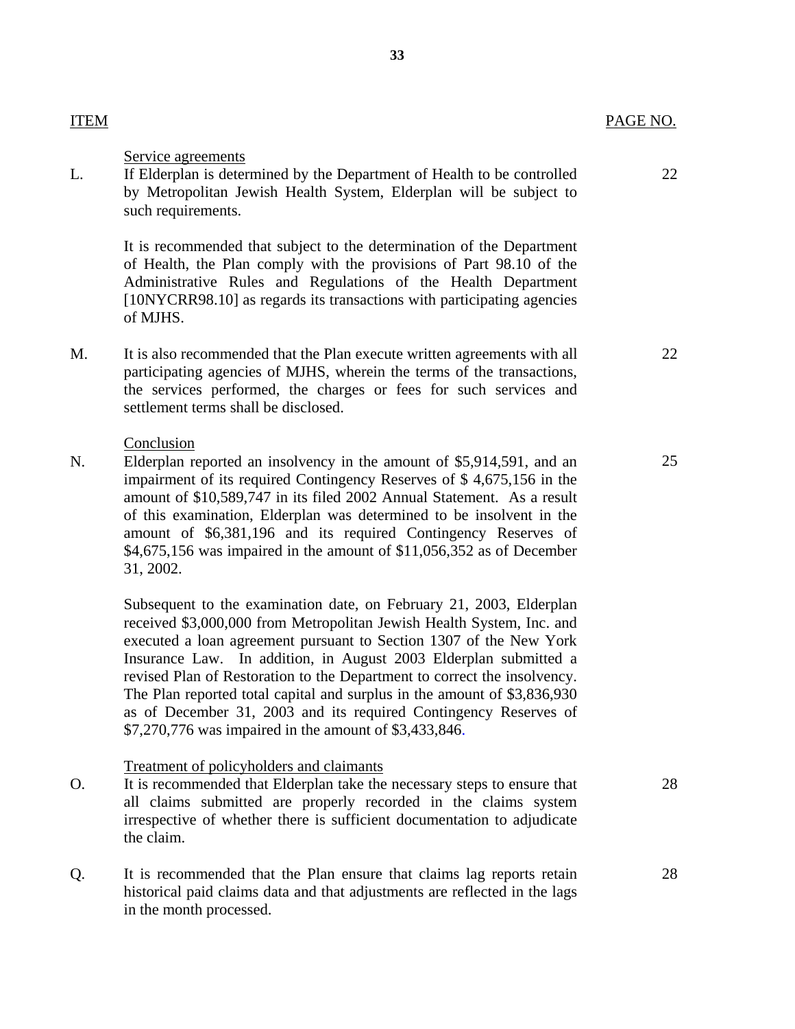| ITEM | PAGE NO. |
|------|----------|
|      |          |

22

#### Service agreements

L. If Elderplan is determined by the Department of Health to be controlled by Metropolitan Jewish Health System, Elderplan will be subject to such requirements.

> It is recommended that subject to the determination of the Department of Health, the Plan comply with the provisions of Part 98.10 of the Administrative Rules and Regulations of the Health Department [10NYCRR98.10] as regards its transactions with participating agencies of MJHS.

M. It is also recommended that the Plan execute written agreements with all participating agencies of MJHS, wherein the terms of the transactions, the services performed, the charges or fees for such services and settlement terms shall be disclosed.

#### Conclusion

N. Elderplan reported an insolvency in the amount of \$5,914,591, and an impairment of its required Contingency Reserves of \$ 4,675,156 in the amount of \$10,589,747 in its filed 2002 Annual Statement. As a result of this examination, Elderplan was determined to be insolvent in the amount of \$6,381,196 and its required Contingency Reserves of \$4,675,156 was impaired in the amount of \$11,056,352 as of December 31, 2002.

Subsequent to the examination date, on February 21, 2003, Elderplan received \$3,000,000 from Metropolitan Jewish Health System, Inc. and executed a loan agreement pursuant to Section 1307 of the New York Insurance Law. In addition, in August 2003 Elderplan submitted a revised Plan of Restoration to the Department to correct the insolvency. The Plan reported total capital and surplus in the amount of \$3,836,930 as of December 31, 2003 and its required Contingency Reserves of \$7,270,776 was impaired in the amount of \$3,433,846.

#### Treatment of policyholders and claimants

- O. It is recommended that Elderplan take the necessary steps to ensure that all claims submitted are properly recorded in the claims system irrespective of whether there is sufficient documentation to adjudicate the claim.
- Q. It is recommended that the Plan ensure that claims lag reports retain historical paid claims data and that adjustments are reflected in the lags in the month processed.

28

22

25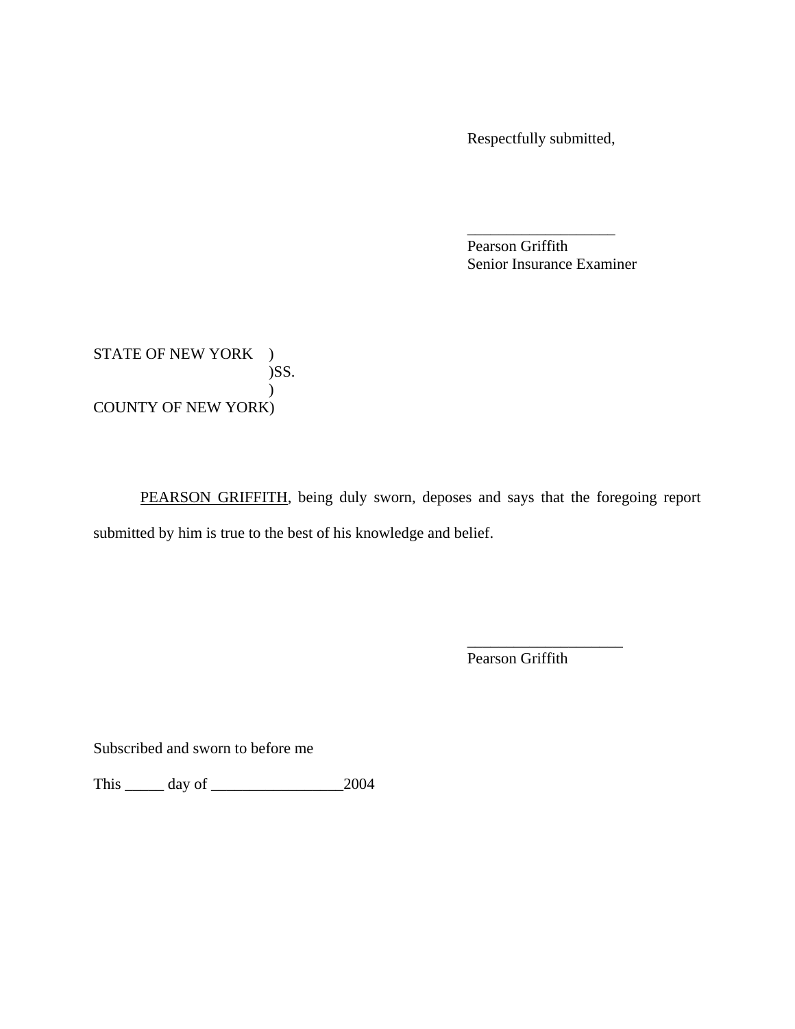Respectfully submitted,

Pearson Griffith Senior Insurance Examiner

\_\_\_\_\_\_\_\_\_\_\_\_\_\_\_\_\_\_\_

STATE OF NEW YORK ) )SS. ) COUNTY OF NEW YORK)

PEARSON GRIFFITH, being duly sworn, deposes and says that the foregoing report submitted by him is true to the best of his knowledge and belief.

Pearson Griffith

\_\_\_\_\_\_\_\_\_\_\_\_\_\_\_\_\_\_\_\_

Subscribed and sworn to before me

This \_\_\_\_\_ day of \_\_\_\_\_\_\_\_\_\_\_\_\_\_\_\_\_2004